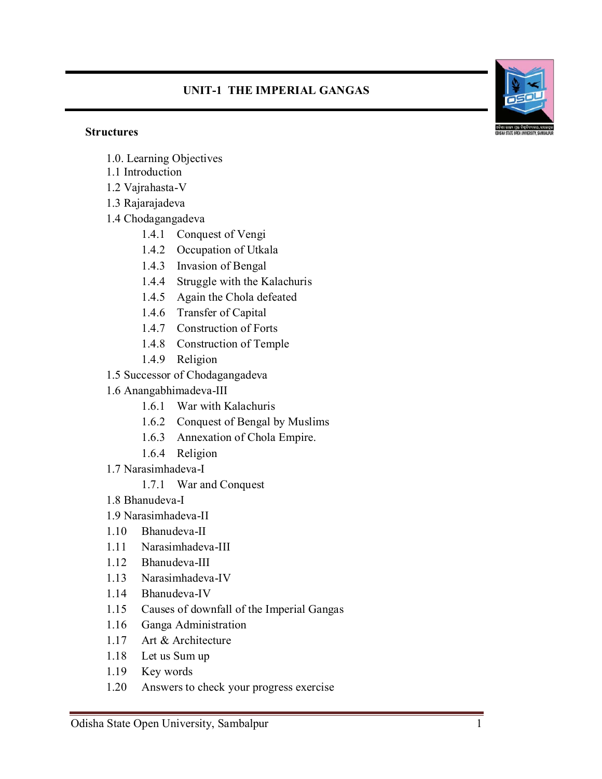## **UNIT-1 THE IMPERIAL GANGAS**





- 1.0. Learning Objectives
- 1.1 Introduction
- 1.2 Vajrahasta-V
- 1.3 Rajarajadeva
- 1.4 Chodagangadeva
	- 1.4.1 Conquest of Vengi
	- 1.4.2 Occupation of Utkala
	- 1.4.3 Invasion of Bengal
	- 1.4.4 Struggle with the Kalachuris
	- 1.4.5 Again the Chola defeated
	- 1.4.6 Transfer of Capital
	- 1.4.7 Construction of Forts
	- 1.4.8 Construction of Temple
	- 1.4.9 Religion
- 1.5 Successor of Chodagangadeva
- 1.6 Anangabhimadeva-III
	- 1.6.1 War with Kalachuris
	- 1.6.2 Conquest of Bengal by Muslims
	- 1.6.3 Annexation of Chola Empire.
	- 1.6.4 Religion
- 1.7 Narasimhadeva-I
	- 1.7.1 War and Conquest
- 1.8 Bhanudeva-I
- 1.9 Narasimhadeva-II
- 1.10 Bhanudeva-II
- 1.11 Narasimhadeva-III
- 1.12 Bhanudeva-III
- 1.13 Narasimhadeva-IV
- 1.14 Bhanudeva-IV
- 1.15 Causes of downfall of the Imperial Gangas
- 1.16 Ganga Administration
- 1.17 Art & Architecture
- 1.18 Let us Sum up
- 1.19 Key words
- 1.20 Answers to check your progress exercise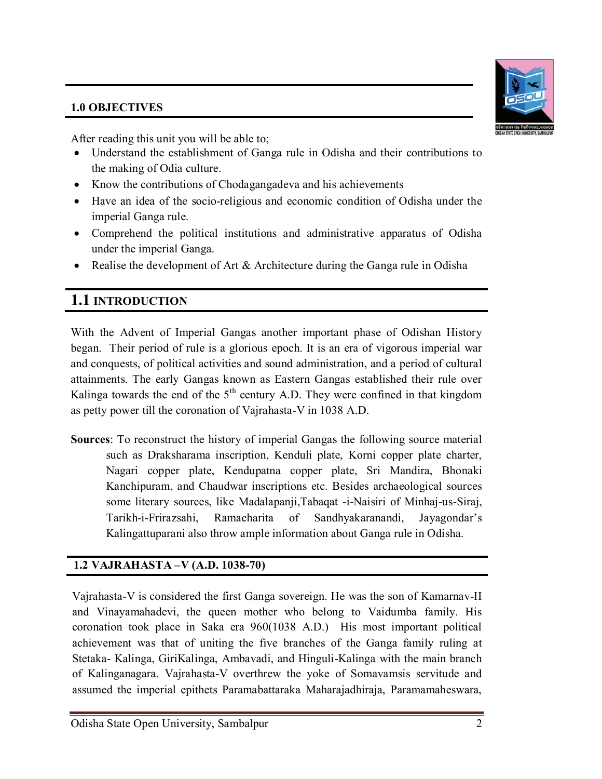### **1.0 OBJECTIVES**

After reading this unit you will be able to;

- Understand the establishment of Ganga rule in Odisha and their contributions to the making of Odia culture.
- Know the contributions of Chodagangadeva and his achievements
- Have an idea of the socio-religious and economic condition of Odisha under the imperial Ganga rule.
- Comprehend the political institutions and administrative apparatus of Odisha under the imperial Ganga.
- Realise the development of Art & Architecture during the Ganga rule in Odisha

# **1.1 INTRODUCTION**

With the Advent of Imperial Gangas another important phase of Odishan History began. Their period of rule is a glorious epoch. It is an era of vigorous imperial war and conquests, of political activities and sound administration, and a period of cultural attainments. The early Gangas known as Eastern Gangas established their rule over Kalinga towards the end of the  $5<sup>th</sup>$  century A.D. They were confined in that kingdom as petty power till the coronation of Vajrahasta-V in 1038 A.D.

**Sources**: To reconstruct the history of imperial Gangas the following source material such as Draksharama inscription, Kenduli plate, Korni copper plate charter, Nagari copper plate, Kendupatna copper plate, Sri Mandira, Bhonaki Kanchipuram, and Chaudwar inscriptions etc. Besides archaeological sources some literary sources, like Madalapanji,Tabaqat -i-Naisiri of Minhaj-us-Siraj, Tarikh-i-Frirazsahi, Ramacharita of Sandhyakaranandi, Jayagondar's Kalingattuparani also throw ample information about Ganga rule in Odisha.

## **1.2 VAJRAHASTA –V (A.D. 1038-70)**

Vajrahasta-V is considered the first Ganga sovereign. He was the son of Kamarnav-II and Vinayamahadevi, the queen mother who belong to Vaidumba family. His coronation took place in Saka era 960(1038 A.D.) His most important political achievement was that of uniting the five branches of the Ganga family ruling at Stetaka- Kalinga, GiriKalinga, Ambavadi, and Hinguli-Kalinga with the main branch of Kalinganagara. Vajrahasta-V overthrew the yoke of Somavamsis servitude and assumed the imperial epithets Paramabattaraka Maharajadhiraja, Paramamaheswara,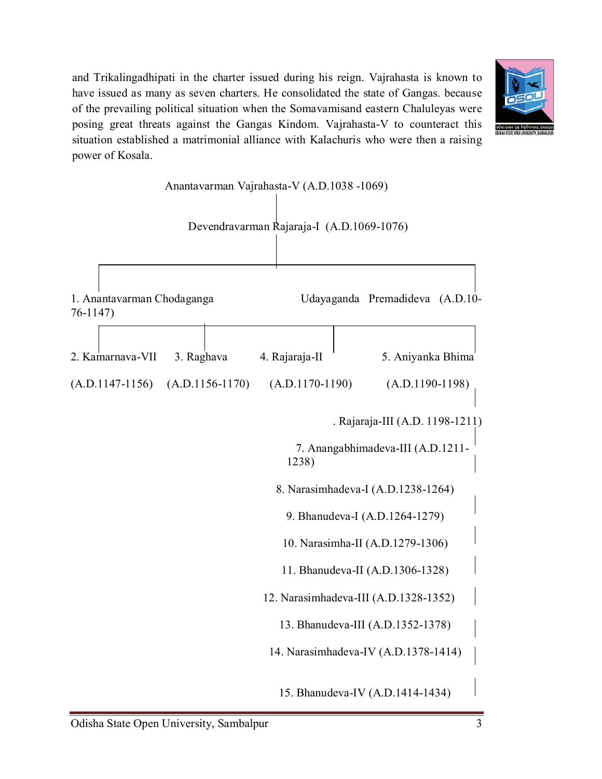and Trikalingadhipati in the charter issued during his reign. Vajrahasta is known to have issued as many as seven charters. He consolidated the state of Gangas. because of the prevailing political situation when the Somavamisand eastern Chaluleyas were posing great threats against the Gangas Kindom. Vajrahasta-V to counteract this situation established a matrimonial alliance with Kalachuris who were then a raising power of Kosala.



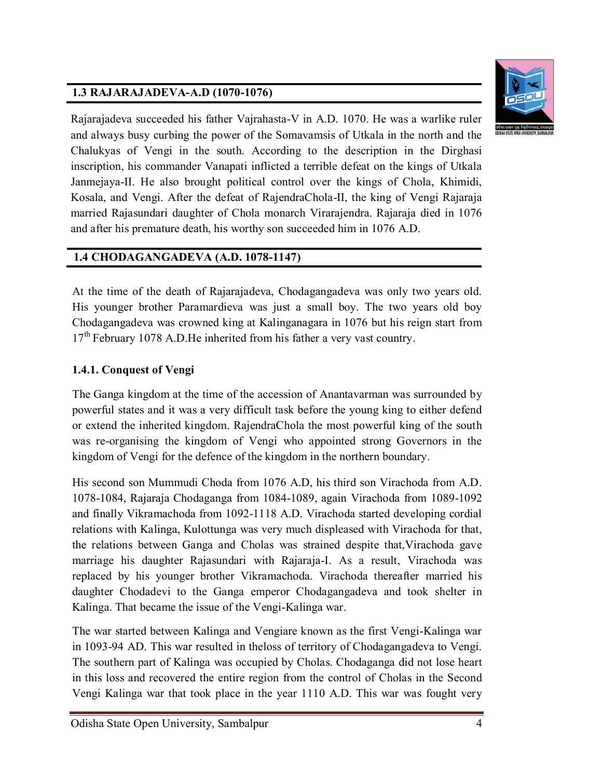## **1.3 RAJARAJADEVA-A.D (1070-1076)**



Rajarajadeva succeeded his father Vajrahasta-V in A.D. 1070. He was a warlike ruler and always busy curbing the power of the Somavamsis of Utkala in the north and the Chalukyas of Vengi in the south. According to the description in the Dirghasi inscription, his commander Vanapati inflicted a terrible defeat on the kings of Utkala Janmejaya-II. He also brought political control over the kings of Chola, Khimidi, Kosala, and Vengi. After the defeat of RajendraChola-II, the king of Vengi Rajaraja married Rajasundari daughter of Chola monarch Virarajendra. Rajaraja died in 1076 and after his premature death, his worthy son succeeded him in 1076 A.D.

## **1.4 CHODAGANGADEVA (A.D. 1078-1147)**

At the time of the death of Rajarajadeva, Chodagangadeva was only two years old. His younger brother Paramardieva was just a small boy. The two years old boy Chodagangadeva was crowned king at Kalinganagara in 1076 but his reign start from 17<sup>th</sup> February 1078 A.D. He inherited from his father a very vast country.

## **1.4.1. Conquest of Vengi**

The Ganga kingdom at the time of the accession of Anantavarman was surrounded by powerful states and it was a very difficult task before the young king to either defend or extend the inherited kingdom. RajendraChola the most powerful king of the south was re-organising the kingdom of Vengi who appointed strong Governors in the kingdom of Vengi for the defence of the kingdom in the northern boundary.

His second son Mummudi Choda from 1076 A.D, his third son Virachoda from A.D. 1078-1084, Rajaraja Chodaganga from 1084-1089, again Virachoda from 1089-1092 and finally Vikramachoda from 1092-1118 A.D. Virachoda started developing cordial relations with Kalinga, Kulottunga was very much displeased with Virachoda for that, the relations between Ganga and Cholas was strained despite that,Virachoda gave marriage his daughter Rajasundari with Rajaraja-I. As a result, Virachoda was replaced by his younger brother Vikramachoda. Virachoda thereafter married his daughter Chodadevi to the Ganga emperor Chodagangadeva and took shelter in Kalinga. That became the issue of the Vengi-Kalinga war.

The war started between Kalinga and Vengiare known as the first Vengi-Kalinga war in 1093-94 AD. This war resulted in theloss of territory of Chodagangadeva to Vengi. The southern part of Kalinga was occupied by Cholas. Chodaganga did not lose heart in this loss and recovered the entire region from the control of Cholas in the Second Vengi Kalinga war that took place in the year 1110 A.D. This war was fought very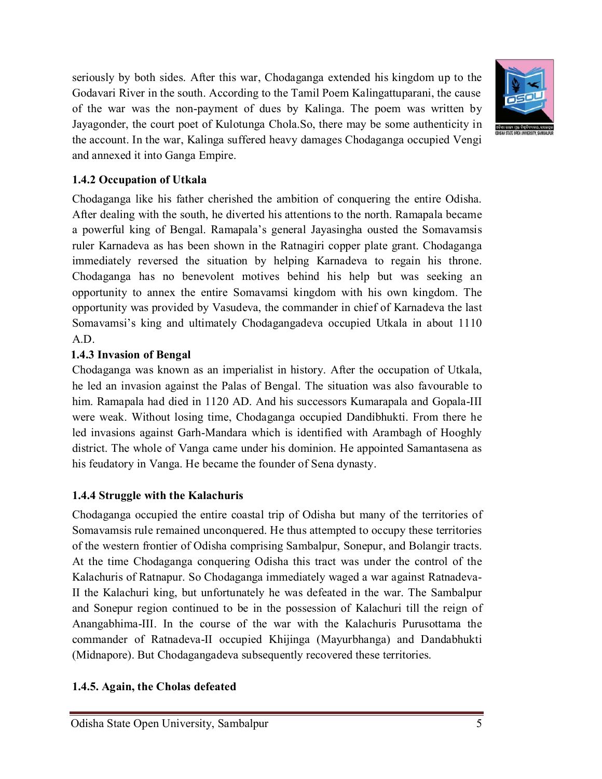seriously by both sides. After this war, Chodaganga extended his kingdom up to the Godavari River in the south. According to the Tamil Poem Kalingattuparani, the cause of the war was the non-payment of dues by Kalinga. The poem was written by Jayagonder, the court poet of Kulotunga Chola.So, there may be some authenticity in the account. In the war, Kalinga suffered heavy damages Chodaganga occupied Vengi and annexed it into Ganga Empire.



### **1.4.2 Occupation of Utkala**

Chodaganga like his father cherished the ambition of conquering the entire Odisha. After dealing with the south, he diverted his attentions to the north. Ramapala became a powerful king of Bengal. Ramapala's general Jayasingha ousted the Somavamsis ruler Karnadeva as has been shown in the Ratnagiri copper plate grant. Chodaganga immediately reversed the situation by helping Karnadeva to regain his throne. Chodaganga has no benevolent motives behind his help but was seeking an opportunity to annex the entire Somavamsi kingdom with his own kingdom. The opportunity was provided by Vasudeva, the commander in chief of Karnadeva the last Somavamsi's king and ultimately Chodagangadeva occupied Utkala in about 1110 A.D.

### **1.4.3 Invasion of Bengal**

Chodaganga was known as an imperialist in history. After the occupation of Utkala, he led an invasion against the Palas of Bengal. The situation was also favourable to him. Ramapala had died in 1120 AD. And his successors Kumarapala and Gopala-III were weak. Without losing time, Chodaganga occupied Dandibhukti. From there he led invasions against Garh-Mandara which is identified with Arambagh of Hooghly district. The whole of Vanga came under his dominion. He appointed Samantasena as his feudatory in Vanga. He became the founder of Sena dynasty.

## **1.4.4 Struggle with the Kalachuris**

Chodaganga occupied the entire coastal trip of Odisha but many of the territories of Somavamsis rule remained unconquered. He thus attempted to occupy these territories of the western frontier of Odisha comprising Sambalpur, Sonepur, and Bolangir tracts. At the time Chodaganga conquering Odisha this tract was under the control of the Kalachuris of Ratnapur. So Chodaganga immediately waged a war against Ratnadeva-II the Kalachuri king, but unfortunately he was defeated in the war. The Sambalpur and Sonepur region continued to be in the possession of Kalachuri till the reign of Anangabhima-III. In the course of the war with the Kalachuris Purusottama the commander of Ratnadeva-II occupied Khijinga (Mayurbhanga) and Dandabhukti (Midnapore). But Chodagangadeva subsequently recovered these territories.

#### **1.4.5. Again, the Cholas defeated**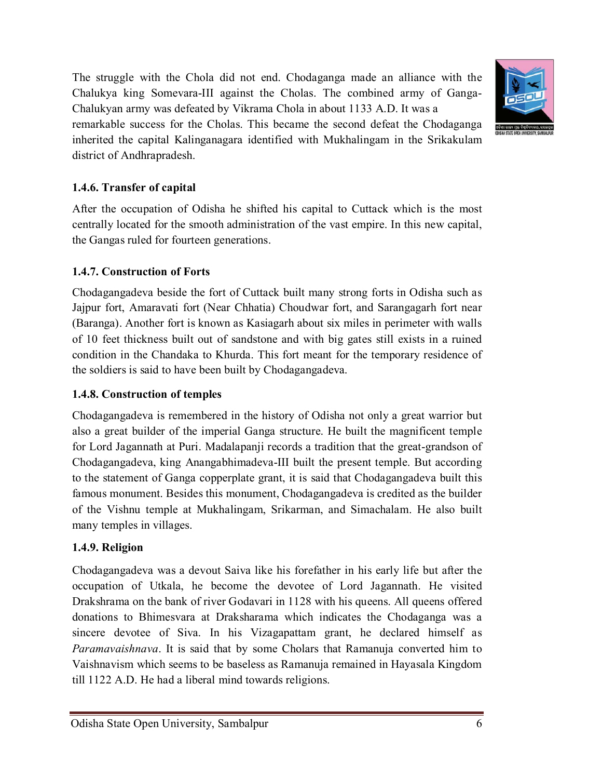Odisha State Open University, Sambalpur 6

The struggle with the Chola did not end. Chodaganga made an alliance with the Chalukya king Somevara-III against the Cholas. The combined army of Ganga-Chalukyan army was defeated by Vikrama Chola in about 1133 A.D. It was a

remarkable success for the Cholas. This became the second defeat the Chodaganga inherited the capital Kalinganagara identified with Mukhalingam in the Srikakulam district of Andhrapradesh.

### **1.4.6. Transfer of capital**

After the occupation of Odisha he shifted his capital to Cuttack which is the most centrally located for the smooth administration of the vast empire. In this new capital, the Gangas ruled for fourteen generations.

#### **1.4.7. Construction of Forts**

Chodagangadeva beside the fort of Cuttack built many strong forts in Odisha such as Jajpur fort, Amaravati fort (Near Chhatia) Choudwar fort, and Sarangagarh fort near (Baranga). Another fort is known as Kasiagarh about six miles in perimeter with walls of 10 feet thickness built out of sandstone and with big gates still exists in a ruined condition in the Chandaka to Khurda. This fort meant for the temporary residence of the soldiers is said to have been built by Chodagangadeva.

#### **1.4.8. Construction of temples**

Chodagangadeva is remembered in the history of Odisha not only a great warrior but also a great builder of the imperial Ganga structure. He built the magnificent temple for Lord Jagannath at Puri. Madalapanji records a tradition that the great-grandson of Chodagangadeva, king Anangabhimadeva-III built the present temple. But according to the statement of Ganga copperplate grant, it is said that Chodagangadeva built this famous monument. Besides this monument, Chodagangadeva is credited as the builder of the Vishnu temple at Mukhalingam, Srikarman, and Simachalam. He also built many temples in villages.

## **1.4.9. Religion**

Chodagangadeva was a devout Saiva like his forefather in his early life but after the occupation of Utkala, he become the devotee of Lord Jagannath. He visited Drakshrama on the bank of river Godavari in 1128 with his queens. All queens offered donations to Bhimesvara at Draksharama which indicates the Chodaganga was a sincere devotee of Siva. In his Vizagapattam grant, he declared himself as *Paramavaishnava*. It is said that by some Cholars that Ramanuja converted him to Vaishnavism which seems to be baseless as Ramanuja remained in Hayasala Kingdom till 1122 A.D. He had a liberal mind towards religions.

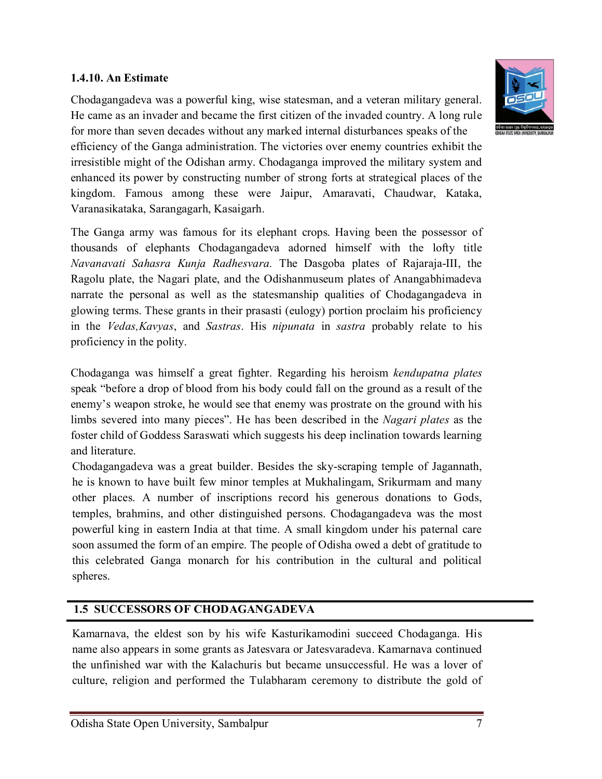#### **1.4.10. An Estimate**

Chodagangadeva was a powerful king, wise statesman, and a veteran military general. He came as an invader and became the first citizen of the invaded country. A long rule for more than seven decades without any marked internal disturbances speaks of the efficiency of the Ganga administration. The victories over enemy countries exhibit the

irresistible might of the Odishan army. Chodaganga improved the military system and enhanced its power by constructing number of strong forts at strategical places of the kingdom. Famous among these were Jaipur, Amaravati, Chaudwar, Kataka, Varanasikataka, Sarangagarh, Kasaigarh.

The Ganga army was famous for its elephant crops. Having been the possessor of thousands of elephants Chodagangadeva adorned himself with the lofty title *Navanavati Sahasra Kunja Radhesvara.* The Dasgoba plates of Rajaraja-III, the Ragolu plate, the Nagari plate, and the Odishanmuseum plates of Anangabhimadeva narrate the personal as well as the statesmanship qualities of Chodagangadeva in glowing terms. These grants in their prasasti (eulogy) portion proclaim his proficiency in the *Vedas,Kavyas*, and *Sastras*. His *nipunata* in *sastra* probably relate to his proficiency in the polity.

Chodaganga was himself a great fighter. Regarding his heroism *kendupatna plates* speak "before a drop of blood from his body could fall on the ground as a result of the enemy's weapon stroke, he would see that enemy was prostrate on the ground with his limbs severed into many pieces". He has been described in the *Nagari plates* as the foster child of Goddess Saraswati which suggests his deep inclination towards learning and literature.

Chodagangadeva was a great builder. Besides the sky-scraping temple of Jagannath, he is known to have built few minor temples at Mukhalingam, Srikurmam and many other places. A number of inscriptions record his generous donations to Gods, temples, brahmins, and other distinguished persons. Chodagangadeva was the most powerful king in eastern India at that time. A small kingdom under his paternal care soon assumed the form of an empire. The people of Odisha owed a debt of gratitude to this celebrated Ganga monarch for his contribution in the cultural and political spheres.

#### **1.5 SUCCESSORS OF CHODAGANGADEVA**

Kamarnava, the eldest son by his wife Kasturikamodini succeed Chodaganga. His name also appears in some grants as Jatesvara or Jatesvaradeva. Kamarnava continued the unfinished war with the Kalachuris but became unsuccessful. He was a lover of culture, religion and performed the Tulabharam ceremony to distribute the gold of

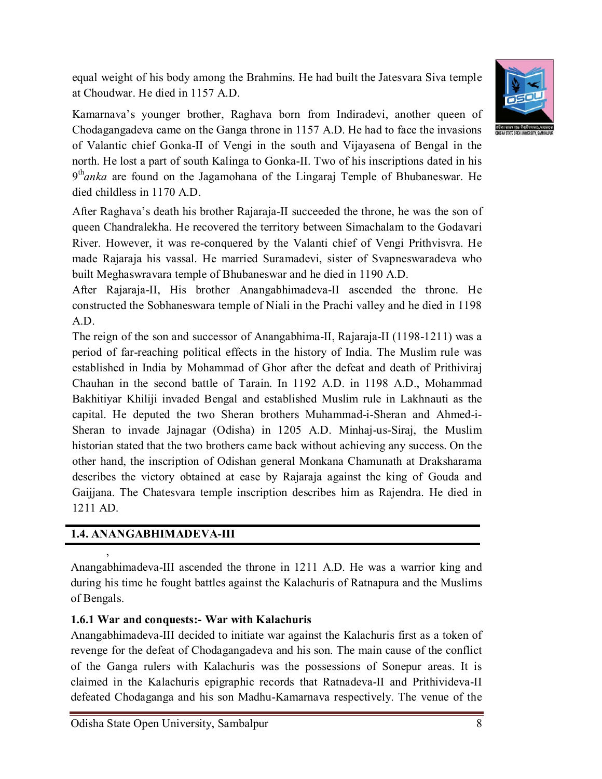equal weight of his body among the Brahmins. He had built the Jatesvara Siva temple at Choudwar. He died in 1157 A.D.



Kamarnava's younger brother, Raghava born from Indiradevi, another queen of Chodagangadeva came on the Ganga throne in 1157 A.D. He had to face the invasions of Valantic chief Gonka-II of Vengi in the south and Vijayasena of Bengal in the north. He lost a part of south Kalinga to Gonka-II. Two of his inscriptions dated in his 9th*anka* are found on the Jagamohana of the Lingaraj Temple of Bhubaneswar. He died childless in 1170 A.D.

After Raghava's death his brother Rajaraja-II succeeded the throne, he was the son of queen Chandralekha. He recovered the territory between Simachalam to the Godavari River. However, it was re-conquered by the Valanti chief of Vengi Prithvisvra. He made Rajaraja his vassal. He married Suramadevi, sister of Svapneswaradeva who built Meghaswravara temple of Bhubaneswar and he died in 1190 A.D.

After Rajaraja-II, His brother Anangabhimadeva-II ascended the throne. He constructed the Sobhaneswara temple of Niali in the Prachi valley and he died in 1198 A.D.

The reign of the son and successor of Anangabhima-II, Rajaraja-II (1198-1211) was a period of far-reaching political effects in the history of India. The Muslim rule was established in India by Mohammad of Ghor after the defeat and death of Prithiviraj Chauhan in the second battle of Tarain. In 1192 A.D. in 1198 A.D., Mohammad Bakhitiyar Khiliji invaded Bengal and established Muslim rule in Lakhnauti as the capital. He deputed the two Sheran brothers Muhammad-i-Sheran and Ahmed-i-Sheran to invade Jajnagar (Odisha) in 1205 A.D. Minhaj-us-Siraj, the Muslim historian stated that the two brothers came back without achieving any success. On the other hand, the inscription of Odishan general Monkana Chamunath at Draksharama describes the victory obtained at ease by Rajaraja against the king of Gouda and Gaijjana. The Chatesvara temple inscription describes him as Rajendra. He died in 1211 AD.

## **1.4. ANANGABHIMADEVA-III**

,

Anangabhimadeva-III ascended the throne in 1211 A.D. He was a warrior king and during his time he fought battles against the Kalachuris of Ratnapura and the Muslims of Bengals.

## **1.6.1 War and conquests:- War with Kalachuris**

Anangabhimadeva-III decided to initiate war against the Kalachuris first as a token of revenge for the defeat of Chodagangadeva and his son. The main cause of the conflict of the Ganga rulers with Kalachuris was the possessions of Sonepur areas. It is claimed in the Kalachuris epigraphic records that Ratnadeva-II and Prithivideva-II defeated Chodaganga and his son Madhu-Kamarnava respectively. The venue of the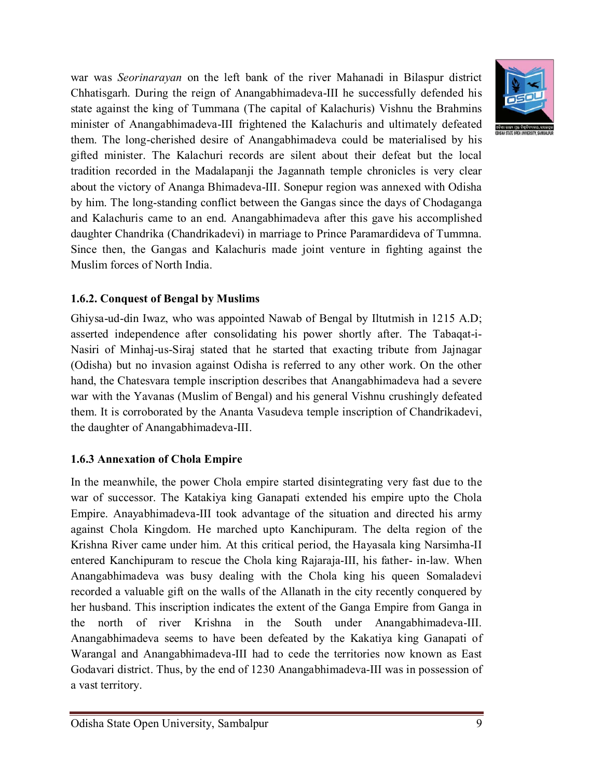war was *Seorinarayan* on the left bank of the river Mahanadi in Bilaspur district Chhatisgarh. During the reign of Anangabhimadeva-III he successfully defended his state against the king of Tummana (The capital of Kalachuris) Vishnu the Brahmins minister of Anangabhimadeva-III frightened the Kalachuris and ultimately defeated them. The long-cherished desire of Anangabhimadeva could be materialised by his gifted minister. The Kalachuri records are silent about their defeat but the local tradition recorded in the Madalapanji the Jagannath temple chronicles is very clear about the victory of Ananga Bhimadeva-III. Sonepur region was annexed with Odisha by him. The long-standing conflict between the Gangas since the days of Chodaganga and Kalachuris came to an end. Anangabhimadeva after this gave his accomplished daughter Chandrika (Chandrikadevi) in marriage to Prince Paramardideva of Tummna. Since then, the Gangas and Kalachuris made joint venture in fighting against the Muslim forces of North India.

## **1.6.2. Conquest of Bengal by Muslims**

Ghiysa-ud-din Iwaz, who was appointed Nawab of Bengal by Iltutmish in 1215 A.D; asserted independence after consolidating his power shortly after. The Tabaqat-i-Nasiri of Minhaj-us-Siraj stated that he started that exacting tribute from Jajnagar (Odisha) but no invasion against Odisha is referred to any other work. On the other hand, the Chatesvara temple inscription describes that Anangabhimadeva had a severe war with the Yavanas (Muslim of Bengal) and his general Vishnu crushingly defeated them. It is corroborated by the Ananta Vasudeva temple inscription of Chandrikadevi, the daughter of Anangabhimadeva-III.

#### **1.6.3 Annexation of Chola Empire**

In the meanwhile, the power Chola empire started disintegrating very fast due to the war of successor. The Katakiya king Ganapati extended his empire upto the Chola Empire. Anayabhimadeva-III took advantage of the situation and directed his army against Chola Kingdom. He marched upto Kanchipuram. The delta region of the Krishna River came under him. At this critical period, the Hayasala king Narsimha-II entered Kanchipuram to rescue the Chola king Rajaraja-III, his father- in-law. When Anangabhimadeva was busy dealing with the Chola king his queen Somaladevi recorded a valuable gift on the walls of the Allanath in the city recently conquered by her husband. This inscription indicates the extent of the Ganga Empire from Ganga in the north of river Krishna in the South under Anangabhimadeva-III. Anangabhimadeva seems to have been defeated by the Kakatiya king Ganapati of Warangal and Anangabhimadeva-III had to cede the territories now known as East Godavari district. Thus, by the end of 1230 Anangabhimadeva-III was in possession of a vast territory.

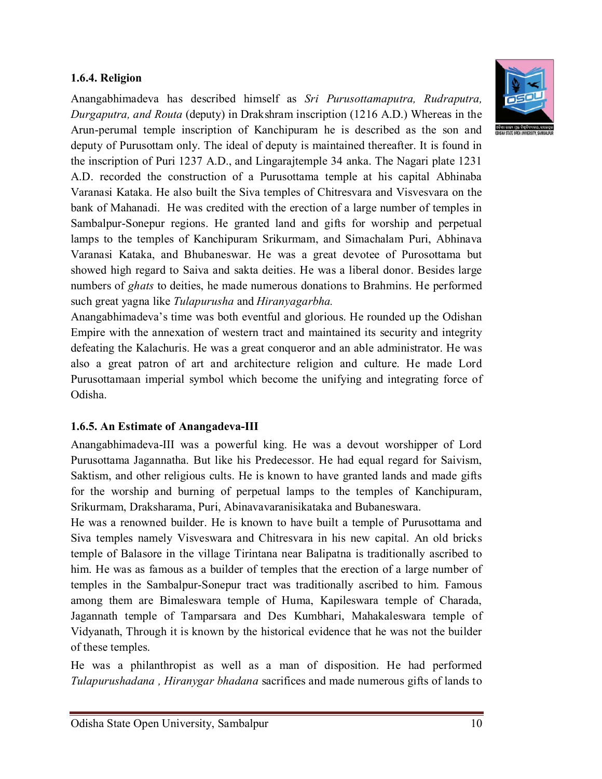### **1.6.4. Religion**

Anangabhimadeva has described himself as *Sri Purusottamaputra, Rudraputra, Durgaputra, and Routa* (deputy) in Drakshram inscription (1216 A.D.) Whereas in the Arun-perumal temple inscription of Kanchipuram he is described as the son and deputy of Purusottam only. The ideal of deputy is maintained thereafter. It is found in the inscription of Puri 1237 A.D., and Lingarajtemple 34 anka. The Nagari plate 1231 A.D. recorded the construction of a Purusottama temple at his capital Abhinaba Varanasi Kataka. He also built the Siva temples of Chitresvara and Visvesvara on the bank of Mahanadi. He was credited with the erection of a large number of temples in Sambalpur-Sonepur regions. He granted land and gifts for worship and perpetual lamps to the temples of Kanchipuram Srikurmam, and Simachalam Puri, Abhinava Varanasi Kataka, and Bhubaneswar. He was a great devotee of Purosottama but showed high regard to Saiva and sakta deities. He was a liberal donor. Besides large numbers of *ghats* to deities, he made numerous donations to Brahmins. He performed such great yagna like *Tulapurusha* and *Hiranyagarbha.*

Anangabhimadeva's time was both eventful and glorious. He rounded up the Odishan Empire with the annexation of western tract and maintained its security and integrity defeating the Kalachuris. He was a great conqueror and an able administrator. He was also a great patron of art and architecture religion and culture. He made Lord Purusottamaan imperial symbol which become the unifying and integrating force of Odisha.

#### **1.6.5. An Estimate of Anangadeva-III**

Anangabhimadeva-III was a powerful king. He was a devout worshipper of Lord Purusottama Jagannatha. But like his Predecessor. He had equal regard for Saivism, Saktism, and other religious cults. He is known to have granted lands and made gifts for the worship and burning of perpetual lamps to the temples of Kanchipuram, Srikurmam, Draksharama, Puri, Abinavavaranisikataka and Bubaneswara.

He was a renowned builder. He is known to have built a temple of Purusottama and Siva temples namely Visveswara and Chitresvara in his new capital. An old bricks temple of Balasore in the village Tirintana near Balipatna is traditionally ascribed to him. He was as famous as a builder of temples that the erection of a large number of temples in the Sambalpur-Sonepur tract was traditionally ascribed to him. Famous among them are Bimaleswara temple of Huma, Kapileswara temple of Charada, Jagannath temple of Tamparsara and Des Kumbhari, Mahakaleswara temple of Vidyanath, Through it is known by the historical evidence that he was not the builder of these temples.

He was a philanthropist as well as a man of disposition. He had performed *Tulapurushadana , Hiranygar bhadana* sacrifices and made numerous gifts of lands to

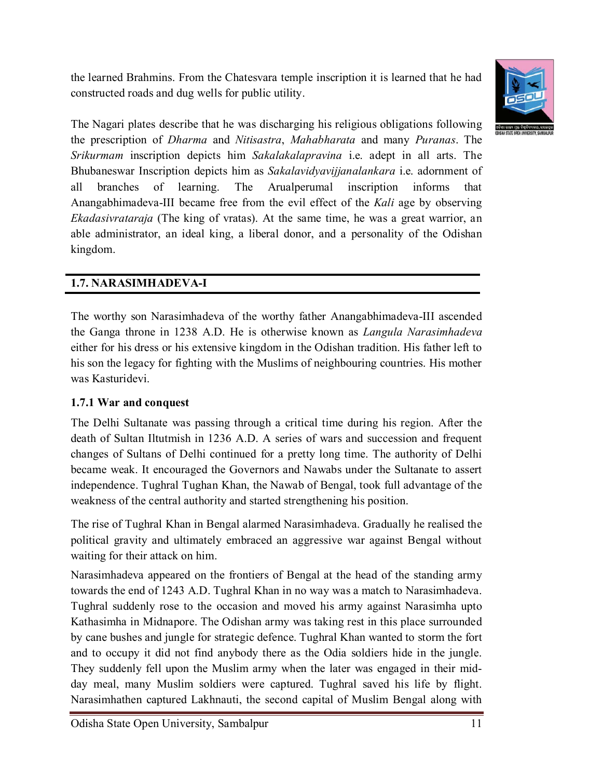the learned Brahmins. From the Chatesvara temple inscription it is learned that he had constructed roads and dug wells for public utility.



The Nagari plates describe that he was discharging his religious obligations following the prescription of *Dharma* and *Nitisastra*, *Mahabharata* and many *Puranas*. The *Srikurmam* inscription depicts him *Sakalakalapravina* i.e. adept in all arts. The Bhubaneswar Inscription depicts him as *Sakalavidyavijjanalankara* i.e. adornment of all branches of learning. The Arualperumal inscription informs that Anangabhimadeva-III became free from the evil effect of the *Kali* age by observing *Ekadasivrataraja* (The king of vratas). At the same time, he was a great warrior, an able administrator, an ideal king, a liberal donor, and a personality of the Odishan kingdom.

## **1.7. NARASIMHADEVA-I**

The worthy son Narasimhadeva of the worthy father Anangabhimadeva-III ascended the Ganga throne in 1238 A.D. He is otherwise known as *Langula Narasimhadeva* either for his dress or his extensive kingdom in the Odishan tradition. His father left to his son the legacy for fighting with the Muslims of neighbouring countries. His mother was Kasturidevi.

## **1.7.1 War and conquest**

The Delhi Sultanate was passing through a critical time during his region. After the death of Sultan Iltutmish in 1236 A.D. A series of wars and succession and frequent changes of Sultans of Delhi continued for a pretty long time. The authority of Delhi became weak. It encouraged the Governors and Nawabs under the Sultanate to assert independence. Tughral Tughan Khan, the Nawab of Bengal, took full advantage of the weakness of the central authority and started strengthening his position.

The rise of Tughral Khan in Bengal alarmed Narasimhadeva. Gradually he realised the political gravity and ultimately embraced an aggressive war against Bengal without waiting for their attack on him.

Narasimhadeva appeared on the frontiers of Bengal at the head of the standing army towards the end of 1243 A.D. Tughral Khan in no way was a match to Narasimhadeva. Tughral suddenly rose to the occasion and moved his army against Narasimha upto Kathasimha in Midnapore. The Odishan army was taking rest in this place surrounded by cane bushes and jungle for strategic defence. Tughral Khan wanted to storm the fort and to occupy it did not find anybody there as the Odia soldiers hide in the jungle. They suddenly fell upon the Muslim army when the later was engaged in their midday meal, many Muslim soldiers were captured. Tughral saved his life by flight. Narasimhathen captured Lakhnauti, the second capital of Muslim Bengal along with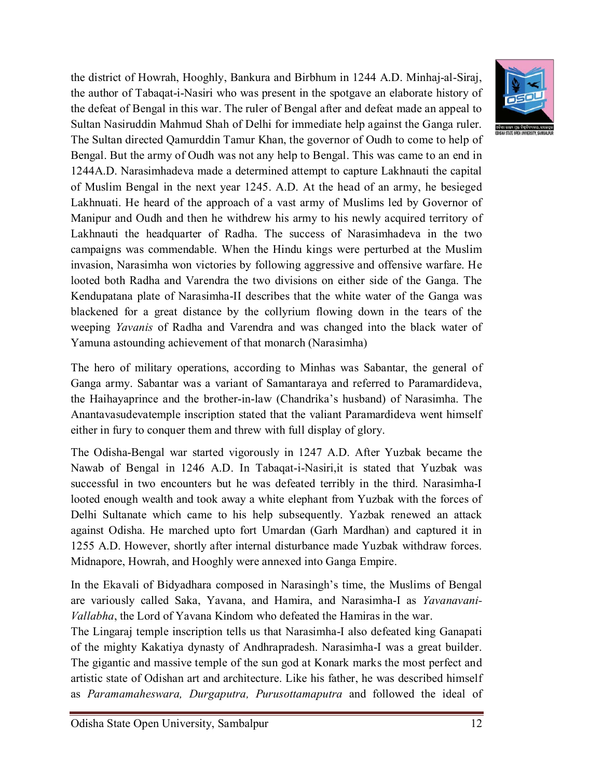the district of Howrah, Hooghly, Bankura and Birbhum in 1244 A.D. Minhaj-al-Siraj, the author of Tabaqat-i-Nasiri who was present in the spotgave an elaborate history of the defeat of Bengal in this war. The ruler of Bengal after and defeat made an appeal to Sultan Nasiruddin Mahmud Shah of Delhi for immediate help against the Ganga ruler. The Sultan directed Qamurddin Tamur Khan, the governor of Oudh to come to help of Bengal. But the army of Oudh was not any help to Bengal. This was came to an end in 1244A.D. Narasimhadeva made a determined attempt to capture Lakhnauti the capital of Muslim Bengal in the next year 1245. A.D. At the head of an army, he besieged Lakhnuati. He heard of the approach of a vast army of Muslims led by Governor of Manipur and Oudh and then he withdrew his army to his newly acquired territory of Lakhnauti the headquarter of Radha. The success of Narasimhadeva in the two campaigns was commendable. When the Hindu kings were perturbed at the Muslim invasion, Narasimha won victories by following aggressive and offensive warfare. He looted both Radha and Varendra the two divisions on either side of the Ganga. The Kendupatana plate of Narasimha-II describes that the white water of the Ganga was blackened for a great distance by the collyrium flowing down in the tears of the weeping *Yavanis* of Radha and Varendra and was changed into the black water of Yamuna astounding achievement of that monarch (Narasimha)

The hero of military operations, according to Minhas was Sabantar, the general of Ganga army. Sabantar was a variant of Samantaraya and referred to Paramardideva, the Haihayaprince and the brother-in-law (Chandrika's husband) of Narasimha. The Anantavasudevatemple inscription stated that the valiant Paramardideva went himself either in fury to conquer them and threw with full display of glory.

The Odisha-Bengal war started vigorously in 1247 A.D. After Yuzbak became the Nawab of Bengal in 1246 A.D. In Tabaqat-i-Nasiri,it is stated that Yuzbak was successful in two encounters but he was defeated terribly in the third. Narasimha-I looted enough wealth and took away a white elephant from Yuzbak with the forces of Delhi Sultanate which came to his help subsequently. Yazbak renewed an attack against Odisha. He marched upto fort Umardan (Garh Mardhan) and captured it in 1255 A.D. However, shortly after internal disturbance made Yuzbak withdraw forces. Midnapore, Howrah, and Hooghly were annexed into Ganga Empire.

In the Ekavali of Bidyadhara composed in Narasingh's time, the Muslims of Bengal are variously called Saka, Yavana, and Hamira, and Narasimha-I as *Yavanavani-Vallabha*, the Lord of Yavana Kindom who defeated the Hamiras in the war.

The Lingaraj temple inscription tells us that Narasimha-I also defeated king Ganapati of the mighty Kakatiya dynasty of Andhrapradesh. Narasimha-I was a great builder. The gigantic and massive temple of the sun god at Konark marks the most perfect and artistic state of Odishan art and architecture. Like his father, he was described himself as *Paramamaheswara, Durgaputra, Purusottamaputra* and followed the ideal of

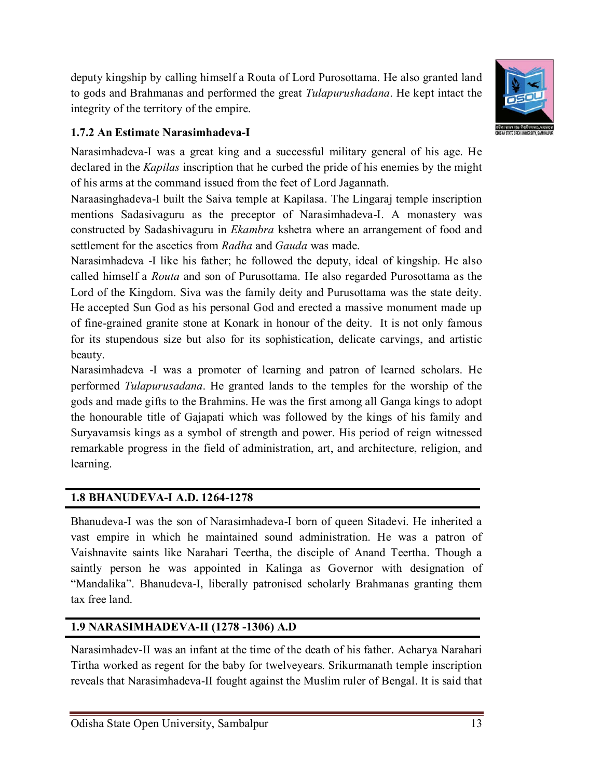deputy kingship by calling himself a Routa of Lord Purosottama. He also granted land to gods and Brahmanas and performed the great *Tulapurushadana*. He kept intact the integrity of the territory of the empire.



## **1.7.2 An Estimate Narasimhadeva-I**

Narasimhadeva-I was a great king and a successful military general of his age. He declared in the *Kapilas* inscription that he curbed the pride of his enemies by the might of his arms at the command issued from the feet of Lord Jagannath.

Naraasinghadeva-I built the Saiva temple at Kapilasa. The Lingaraj temple inscription mentions Sadasivaguru as the preceptor of Narasimhadeva-I. A monastery was constructed by Sadashivaguru in *Ekambra* kshetra where an arrangement of food and settlement for the ascetics from *Radha* and *Gauda* was made.

Narasimhadeva -I like his father; he followed the deputy, ideal of kingship. He also called himself a *Routa* and son of Purusottama. He also regarded Purosottama as the Lord of the Kingdom. Siva was the family deity and Purusottama was the state deity. He accepted Sun God as his personal God and erected a massive monument made up of fine-grained granite stone at Konark in honour of the deity. It is not only famous for its stupendous size but also for its sophistication, delicate carvings, and artistic beauty.

Narasimhadeva -I was a promoter of learning and patron of learned scholars. He performed *Tulapurusadana*. He granted lands to the temples for the worship of the gods and made gifts to the Brahmins. He was the first among all Ganga kings to adopt the honourable title of Gajapati which was followed by the kings of his family and Suryavamsis kings as a symbol of strength and power. His period of reign witnessed remarkable progress in the field of administration, art, and architecture, religion, and learning.

## **1.8 BHANUDEVA-I A.D. 1264-1278**

Bhanudeva-I was the son of Narasimhadeva-I born of queen Sitadevi. He inherited a vast empire in which he maintained sound administration. He was a patron of Vaishnavite saints like Narahari Teertha, the disciple of Anand Teertha. Though a saintly person he was appointed in Kalinga as Governor with designation of "Mandalika". Bhanudeva-I, liberally patronised scholarly Brahmanas granting them tax free land.

## **1.9 NARASIMHADEVA-II (1278 -1306) A.D**

Narasimhadev-II was an infant at the time of the death of his father. Acharya Narahari Tirtha worked as regent for the baby for twelveyears. Srikurmanath temple inscription reveals that Narasimhadeva-II fought against the Muslim ruler of Bengal. It is said that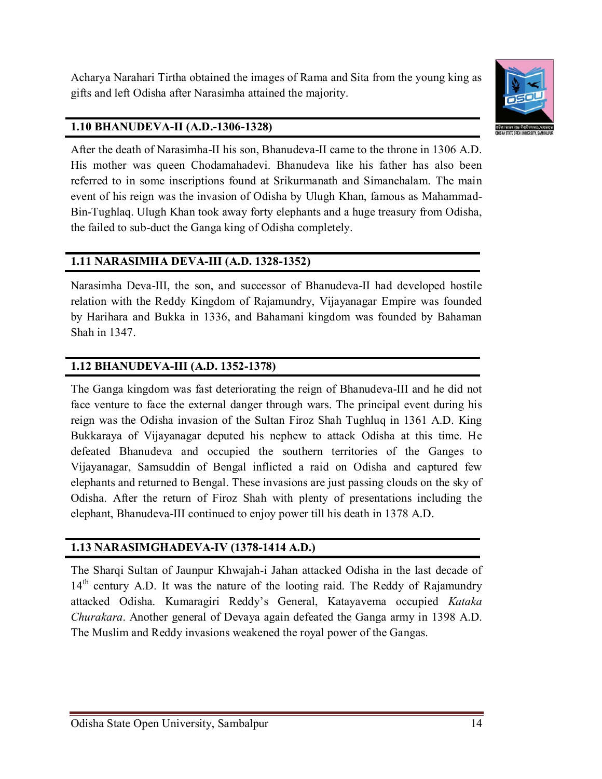Acharya Narahari Tirtha obtained the images of Rama and Sita from the young king as gifts and left Odisha after Narasimha attained the majority.



### **1.10 BHANUDEVA-II (A.D.-1306-1328)**

After the death of Narasimha-II his son, Bhanudeva-II came to the throne in 1306 A.D. His mother was queen Chodamahadevi. Bhanudeva like his father has also been referred to in some inscriptions found at Srikurmanath and Simanchalam. The main event of his reign was the invasion of Odisha by Ulugh Khan, famous as Mahammad-Bin-Tughlaq. Ulugh Khan took away forty elephants and a huge treasury from Odisha, the failed to sub-duct the Ganga king of Odisha completely.

### **1.11 NARASIMHA DEVA-III (A.D. 1328-1352)**

Narasimha Deva-III, the son, and successor of Bhanudeva-II had developed hostile relation with the Reddy Kingdom of Rajamundry, Vijayanagar Empire was founded by Harihara and Bukka in 1336, and Bahamani kingdom was founded by Bahaman Shah in 1347.

### **1.12 BHANUDEVA-III (A.D. 1352-1378)**

The Ganga kingdom was fast deteriorating the reign of Bhanudeva-III and he did not face venture to face the external danger through wars. The principal event during his reign was the Odisha invasion of the Sultan Firoz Shah Tughluq in 1361 A.D. King Bukkaraya of Vijayanagar deputed his nephew to attack Odisha at this time. He defeated Bhanudeva and occupied the southern territories of the Ganges to Vijayanagar, Samsuddin of Bengal inflicted a raid on Odisha and captured few elephants and returned to Bengal. These invasions are just passing clouds on the sky of Odisha. After the return of Firoz Shah with plenty of presentations including the elephant, Bhanudeva-III continued to enjoy power till his death in 1378 A.D.

#### **1.13 NARASIMGHADEVA-IV (1378-1414 A.D.)**

The Sharqi Sultan of Jaunpur Khwajah-i Jahan attacked Odisha in the last decade of  $14<sup>th</sup>$  century A.D. It was the nature of the looting raid. The Reddy of Rajamundry attacked Odisha. Kumaragiri Reddy's General, Katayavema occupied *Kataka Churakara*. Another general of Devaya again defeated the Ganga army in 1398 A.D. The Muslim and Reddy invasions weakened the royal power of the Gangas.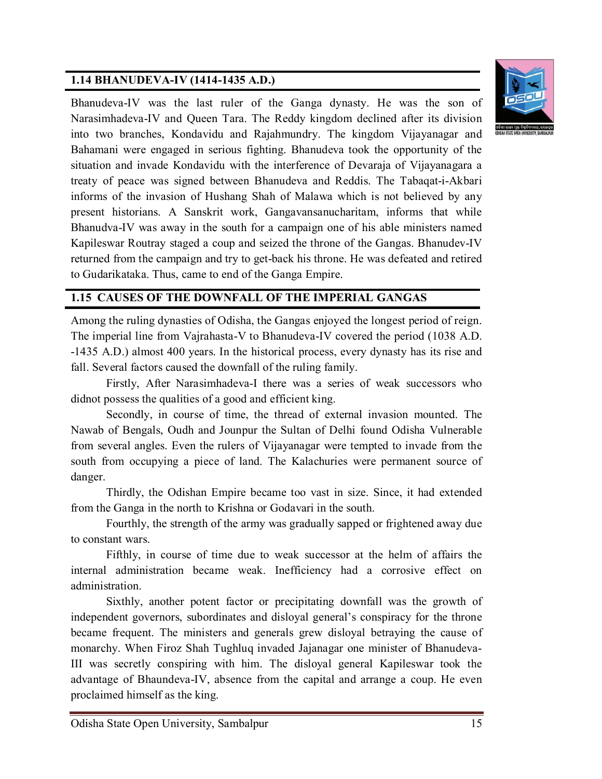## **1.14 BHANUDEVA-IV (1414-1435 A.D.)**



Bhanudeva-IV was the last ruler of the Ganga dynasty. He was the son of Narasimhadeva-IV and Queen Tara. The Reddy kingdom declined after its division into two branches, Kondavidu and Rajahmundry. The kingdom Vijayanagar and Bahamani were engaged in serious fighting. Bhanudeva took the opportunity of the situation and invade Kondavidu with the interference of Devaraja of Vijayanagara a treaty of peace was signed between Bhanudeva and Reddis. The Tabaqat-i-Akbari informs of the invasion of Hushang Shah of Malawa which is not believed by any present historians. A Sanskrit work, Gangavansanucharitam, informs that while Bhanudva-IV was away in the south for a campaign one of his able ministers named Kapileswar Routray staged a coup and seized the throne of the Gangas. Bhanudev-IV returned from the campaign and try to get-back his throne. He was defeated and retired to Gudarikataka. Thus, came to end of the Ganga Empire.

## **1.15 CAUSES OF THE DOWNFALL OF THE IMPERIAL GANGAS**

Among the ruling dynasties of Odisha, the Gangas enjoyed the longest period of reign. The imperial line from Vajrahasta-V to Bhanudeva-IV covered the period (1038 A.D. -1435 A.D.) almost 400 years. In the historical process, every dynasty has its rise and fall. Several factors caused the downfall of the ruling family.

Firstly, After Narasimhadeva-I there was a series of weak successors who didnot possess the qualities of a good and efficient king.

Secondly, in course of time, the thread of external invasion mounted. The Nawab of Bengals, Oudh and Jounpur the Sultan of Delhi found Odisha Vulnerable from several angles. Even the rulers of Vijayanagar were tempted to invade from the south from occupying a piece of land. The Kalachuries were permanent source of danger.

Thirdly, the Odishan Empire became too vast in size. Since, it had extended from the Ganga in the north to Krishna or Godavari in the south.

Fourthly, the strength of the army was gradually sapped or frightened away due to constant wars.

Fifthly, in course of time due to weak successor at the helm of affairs the internal administration became weak. Inefficiency had a corrosive effect on administration.

Sixthly, another potent factor or precipitating downfall was the growth of independent governors, subordinates and disloyal general's conspiracy for the throne became frequent. The ministers and generals grew disloyal betraying the cause of monarchy. When Firoz Shah Tughluq invaded Jajanagar one minister of Bhanudeva-III was secretly conspiring with him. The disloyal general Kapileswar took the advantage of Bhaundeva-IV, absence from the capital and arrange a coup. He even proclaimed himself as the king.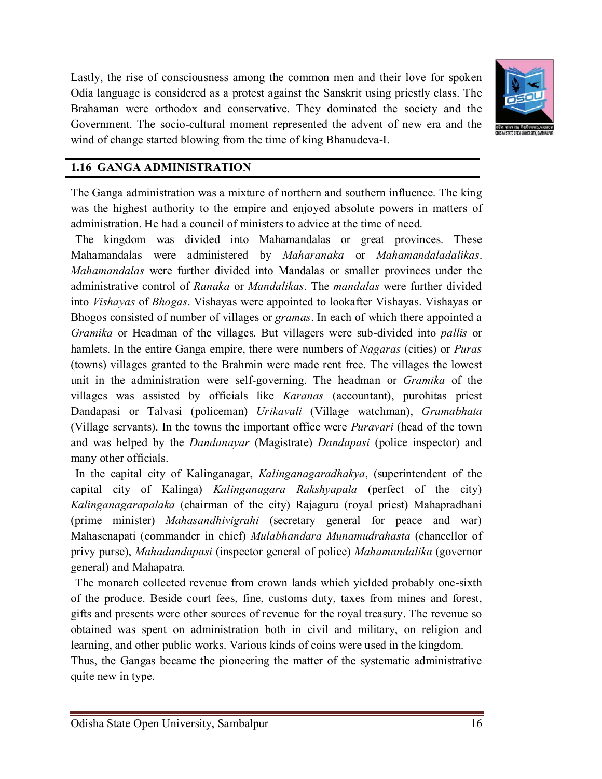

Lastly, the rise of consciousness among the common men and their love for spoken Odia language is considered as a protest against the Sanskrit using priestly class. The Brahaman were orthodox and conservative. They dominated the society and the Government. The socio-cultural moment represented the advent of new era and the wind of change started blowing from the time of king Bhanudeva-I.

#### **1.16 GANGA ADMINISTRATION**

The Ganga administration was a mixture of northern and southern influence. The king was the highest authority to the empire and enjoyed absolute powers in matters of administration. He had a council of ministers to advice at the time of need.

The kingdom was divided into Mahamandalas or great provinces. These Mahamandalas were administered by *Maharanaka* or *Mahamandaladalikas*. *Mahamandalas* were further divided into Mandalas or smaller provinces under the administrative control of *Ranaka* or *Mandalikas*. The *mandalas* were further divided into *Vishayas* of *Bhogas*. Vishayas were appointed to lookafter Vishayas. Vishayas or Bhogos consisted of number of villages or *gramas*. In each of which there appointed a *Gramika* or Headman of the villages. But villagers were sub-divided into *pallis* or hamlets. In the entire Ganga empire, there were numbers of *Nagaras* (cities) or *Puras* (towns) villages granted to the Brahmin were made rent free. The villages the lowest unit in the administration were self-governing. The headman or *Gramika* of the villages was assisted by officials like *Karanas* (accountant), purohitas priest Dandapasi or Talvasi (policeman) *Urikavali* (Village watchman), *Gramabhata* (Village servants). In the towns the important office were *Puravari* (head of the town and was helped by the *Dandanayar* (Magistrate) *Dandapasi* (police inspector) and many other officials.

In the capital city of Kalinganagar, *Kalinganagaradhakya*, (superintendent of the capital city of Kalinga) *Kalinganagara Rakshyapala* (perfect of the city) *Kalinganagarapalaka* (chairman of the city) Rajaguru (royal priest) Mahapradhani (prime minister) *Mahasandhivigrahi* (secretary general for peace and war) Mahasenapati (commander in chief) *Mulabhandara Munamudrahasta* (chancellor of privy purse), *Mahadandapasi* (inspector general of police) *Mahamandalika* (governor general) and Mahapatra*.*

The monarch collected revenue from crown lands which yielded probably one-sixth of the produce. Beside court fees, fine, customs duty, taxes from mines and forest, gifts and presents were other sources of revenue for the royal treasury. The revenue so obtained was spent on administration both in civil and military, on religion and learning, and other public works. Various kinds of coins were used in the kingdom.

Thus, the Gangas became the pioneering the matter of the systematic administrative quite new in type.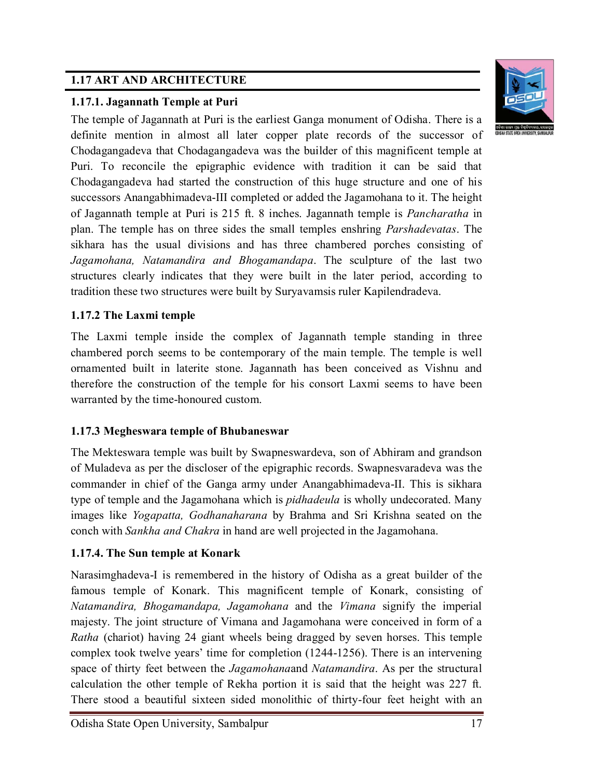## **1.17 ART AND ARCHITECTURE**



## **1.17.1. Jagannath Temple at Puri**

The temple of Jagannath at Puri is the earliest Ganga monument of Odisha. There is a definite mention in almost all later copper plate records of the successor of Chodagangadeva that Chodagangadeva was the builder of this magnificent temple at Puri. To reconcile the epigraphic evidence with tradition it can be said that Chodagangadeva had started the construction of this huge structure and one of his successors Anangabhimadeva-III completed or added the Jagamohana to it. The height of Jagannath temple at Puri is 215 ft. 8 inches. Jagannath temple is *Pancharatha* in plan. The temple has on three sides the small temples enshring *Parshadevatas*. The sikhara has the usual divisions and has three chambered porches consisting of *Jagamohana, Natamandira and Bhogamandapa*. The sculpture of the last two structures clearly indicates that they were built in the later period, according to tradition these two structures were built by Suryavamsis ruler Kapilendradeva.

## **1.17.2 The Laxmi temple**

The Laxmi temple inside the complex of Jagannath temple standing in three chambered porch seems to be contemporary of the main temple. The temple is well ornamented built in laterite stone. Jagannath has been conceived as Vishnu and therefore the construction of the temple for his consort Laxmi seems to have been warranted by the time-honoured custom.

## **1.17.3 Megheswara temple of Bhubaneswar**

The Mekteswara temple was built by Swapneswardeva, son of Abhiram and grandson of Muladeva as per the discloser of the epigraphic records. Swapnesvaradeva was the commander in chief of the Ganga army under Anangabhimadeva-II. This is sikhara type of temple and the Jagamohana which is *pidhadeula* is wholly undecorated. Many images like *Yogapatta, Godhanaharana* by Brahma and Sri Krishna seated on the conch with *Sankha and Chakra* in hand are well projected in the Jagamohana.

## **1.17.4. The Sun temple at Konark**

Narasimghadeva-I is remembered in the history of Odisha as a great builder of the famous temple of Konark. This magnificent temple of Konark, consisting of *Natamandira, Bhogamandapa, Jagamohana* and the *Vimana* signify the imperial majesty. The joint structure of Vimana and Jagamohana were conceived in form of a *Ratha* (chariot) having 24 giant wheels being dragged by seven horses. This temple complex took twelve years' time for completion (1244-1256). There is an intervening space of thirty feet between the *Jagamohana*and *Natamandira*. As per the structural calculation the other temple of Rekha portion it is said that the height was 227 ft. There stood a beautiful sixteen sided monolithic of thirty-four feet height with an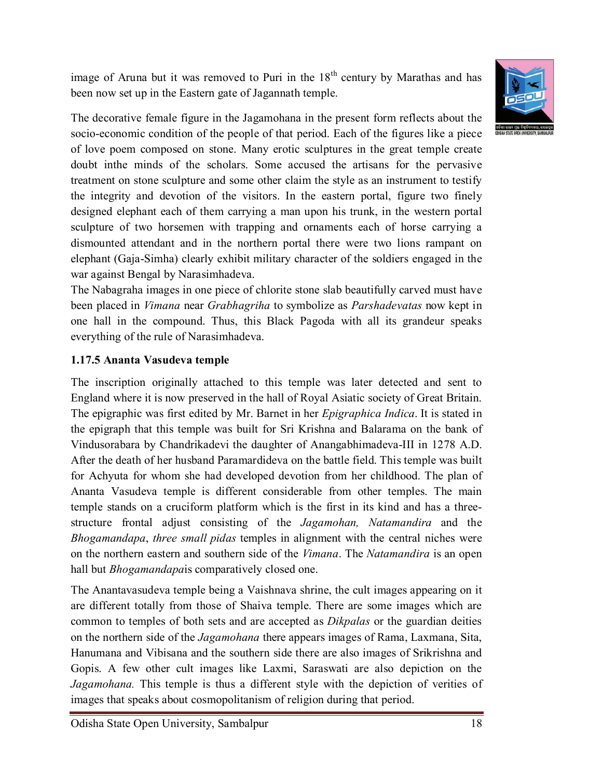image of Aruna but it was removed to Puri in the  $18<sup>th</sup>$  century by Marathas and has been now set up in the Eastern gate of Jagannath temple.



The decorative female figure in the Jagamohana in the present form reflects about the socio-economic condition of the people of that period. Each of the figures like a piece of love poem composed on stone. Many erotic sculptures in the great temple create doubt inthe minds of the scholars. Some accused the artisans for the pervasive treatment on stone sculpture and some other claim the style as an instrument to testify the integrity and devotion of the visitors. In the eastern portal, figure two finely designed elephant each of them carrying a man upon his trunk, in the western portal sculpture of two horsemen with trapping and ornaments each of horse carrying a dismounted attendant and in the northern portal there were two lions rampant on elephant (Gaja-Simha) clearly exhibit military character of the soldiers engaged in the war against Bengal by Narasimhadeva.

The Nabagraha images in one piece of chlorite stone slab beautifully carved must have been placed in *Vimana* near *Grabhagriha* to symbolize as *Parshadevatas* now kept in one hall in the compound. Thus, this Black Pagoda with all its grandeur speaks everything of the rule of Narasimhadeva.

## **1.17.5 Ananta Vasudeva temple**

The inscription originally attached to this temple was later detected and sent to England where it is now preserved in the hall of Royal Asiatic society of Great Britain. The epigraphic was first edited by Mr. Barnet in her *Epigraphica Indica*. It is stated in the epigraph that this temple was built for Sri Krishna and Balarama on the bank of Vindusorabara by Chandrikadevi the daughter of Anangabhimadeva-III in 1278 A.D. After the death of her husband Paramardideva on the battle field. This temple was built for Achyuta for whom she had developed devotion from her childhood. The plan of Ananta Vasudeva temple is different considerable from other temples. The main temple stands on a cruciform platform which is the first in its kind and has a threestructure frontal adjust consisting of the *Jagamohan, Natamandira* and the *Bhogamandapa*, *three small pidas* temples in alignment with the central niches were on the northern eastern and southern side of the *Vimana*. The *Natamandira* is an open hall but *Bhogamandapa*is comparatively closed one.

The Anantavasudeva temple being a Vaishnava shrine, the cult images appearing on it are different totally from those of Shaiva temple. There are some images which are common to temples of both sets and are accepted as *Dikpalas* or the guardian deities on the northern side of the *Jagamohana* there appears images of Rama, Laxmana, Sita, Hanumana and Vibisana and the southern side there are also images of Srikrishna and Gopis. A few other cult images like Laxmi, Saraswati are also depiction on the *Jagamohana.* This temple is thus a different style with the depiction of verities of images that speaks about cosmopolitanism of religion during that period.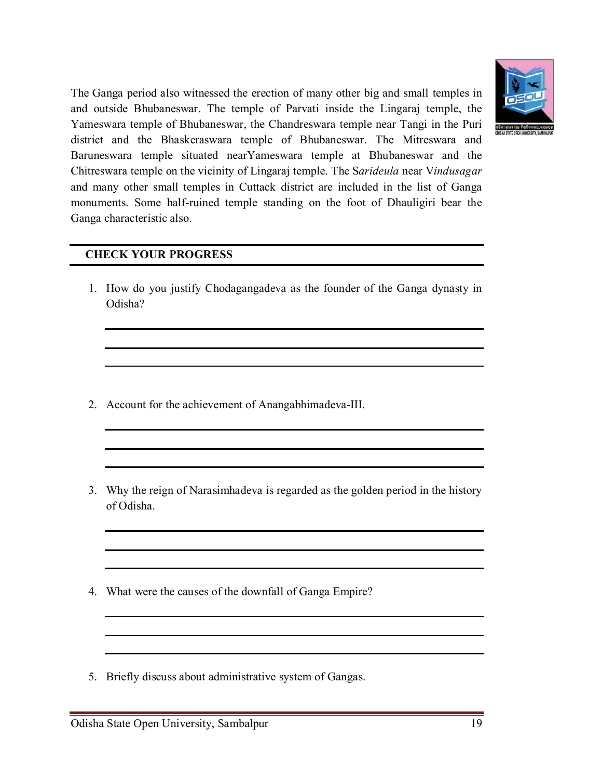

The Ganga period also witnessed the erection of many other big and small temples in and outside Bhubaneswar. The temple of Parvati inside the Lingaraj temple, the Yameswara temple of Bhubaneswar, the Chandreswara temple near Tangi in the Puri district and the Bhaskeraswara temple of Bhubaneswar. The Mitreswara and Baruneswara temple situated nearYameswara temple at Bhubaneswar and the Chitreswara temple on the vicinity of Lingaraj temple. The S*arideula* near V*indusagar* and many other small temples in Cuttack district are included in the list of Ganga monuments. Some half-ruined temple standing on the foot of Dhauligiri bear the Ganga characteristic also.

### **CHECK YOUR PROGRESS**

1. How do you justify Chodagangadeva as the founder of the Ganga dynasty in Odisha?

- 2. Account for the achievement of Anangabhimadeva-III.
- 3. Why the reign of Narasimhadeva is regarded as the golden period in the history of Odisha.
- 4. What were the causes of the downfall of Ganga Empire?
- 5. Briefly discuss about administrative system of Gangas.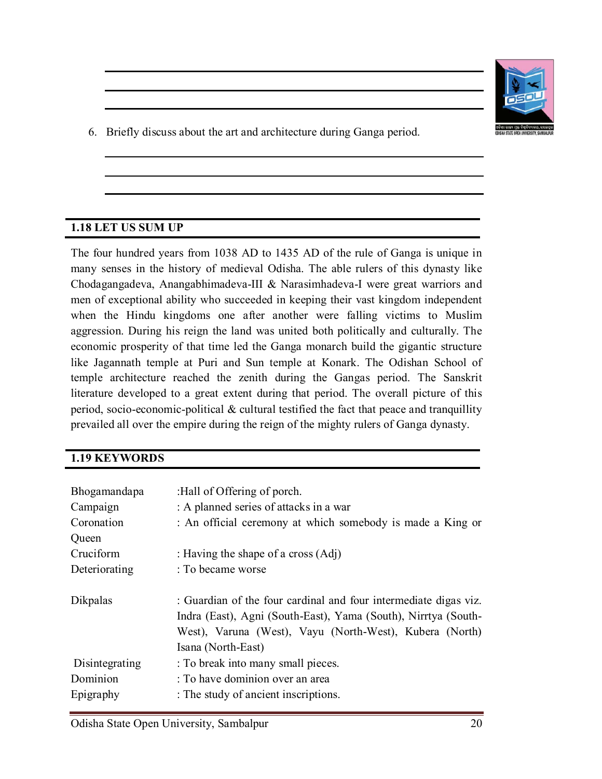

6. Briefly discuss about the art and architecture during Ganga period.

#### **1.18 LET US SUM UP**

The four hundred years from 1038 AD to 1435 AD of the rule of Ganga is unique in many senses in the history of medieval Odisha. The able rulers of this dynasty like Chodagangadeva, Anangabhimadeva-III & Narasimhadeva-I were great warriors and men of exceptional ability who succeeded in keeping their vast kingdom independent when the Hindu kingdoms one after another were falling victims to Muslim aggression. During his reign the land was united both politically and culturally. The economic prosperity of that time led the Ganga monarch build the gigantic structure like Jagannath temple at Puri and Sun temple at Konark. The Odishan School of temple architecture reached the zenith during the Gangas period. The Sanskrit literature developed to a great extent during that period. The overall picture of this period, socio-economic-political & cultural testified the fact that peace and tranquillity prevailed all over the empire during the reign of the mighty rulers of Ganga dynasty.

#### **1.19 KEYWORDS**

| Bhogamandapa<br>Campaign<br>Coronation<br>Queen | :Hall of Offering of porch.<br>: A planned series of attacks in a war<br>: An official ceremony at which somebody is made a King or                                                                                 |
|-------------------------------------------------|---------------------------------------------------------------------------------------------------------------------------------------------------------------------------------------------------------------------|
| Cruciform                                       | : Having the shape of a cross $(Adj)$                                                                                                                                                                               |
| Deteriorating                                   | : To became worse                                                                                                                                                                                                   |
| Dikpalas                                        | : Guardian of the four cardinal and four intermediate digas viz.<br>Indra (East), Agni (South-East), Yama (South), Nirrtya (South-<br>West), Varuna (West), Vayu (North-West), Kubera (North)<br>Isana (North-East) |
| Disintegrating<br>Dominion<br>Epigraphy         | : To break into many small pieces.<br>: To have dominion over an area<br>: The study of ancient inscriptions.                                                                                                       |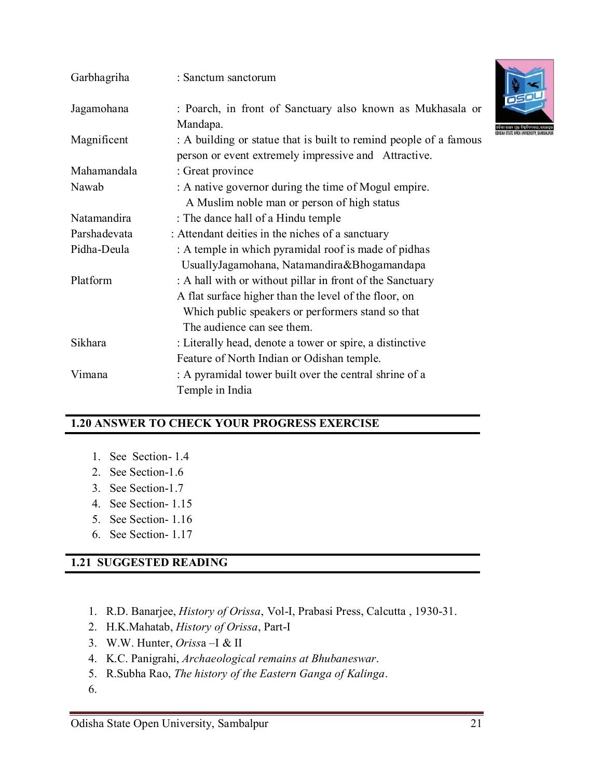| Garbhagriha  | : Sanctum sanctorum                                                                                                                                                                                   |
|--------------|-------------------------------------------------------------------------------------------------------------------------------------------------------------------------------------------------------|
| Jagamohana   | : Poarch, in front of Sanctuary also known as Mukhasala or<br>Mandapa.                                                                                                                                |
| Magnificent  | ଅଜିଶା<br>: A building or statue that is built to remind people of a famous<br>person or event extremely impressive and Attractive.                                                                    |
| Mahamandala  | : Great province                                                                                                                                                                                      |
| Nawab        | : A native governor during the time of Mogul empire.<br>A Muslim noble man or person of high status                                                                                                   |
| Natamandira  | : The dance hall of a Hindu temple                                                                                                                                                                    |
| Parshadevata | : Attendant deities in the niches of a sanctuary                                                                                                                                                      |
| Pidha-Deula  | : A temple in which pyramidal roof is made of pidhas<br>UsuallyJagamohana, Natamandira&Bhogamandapa                                                                                                   |
| Platform     | : A hall with or without pillar in front of the Sanctuary<br>A flat surface higher than the level of the floor, on<br>Which public speakers or performers stand so that<br>The audience can see them. |
| Sikhara      | : Literally head, denote a tower or spire, a distinctive<br>Feature of North Indian or Odishan temple.                                                                                                |
| Vimana       | : A pyramidal tower built over the central shrine of a<br>Temple in India                                                                                                                             |

## **1.20 ANSWER TO CHECK YOUR PROGRESS EXERCISE**

- 1. See Section- 1.4
- 2. See Section-1.6
- 3. See Section-1.7
- 4. See Section- 1.15
- 5. See Section- 1.16
- 6. See Section- 1.17

#### **1.21 SUGGESTED READING**

- 1. R.D. Banarjee, *History of Orissa*, Vol-I, Prabasi Press, Calcutta , 1930-31.
- 2. H.K.Mahatab, *History of Orissa*, Part-I
- 3. W.W. Hunter, *Oriss*a –I & II
- 4. K.C. Panigrahi, *Archaeological remains at Bhubaneswar*.
- 5. R.Subha Rao, *The history of the Eastern Ganga of Kalinga*.
- 6.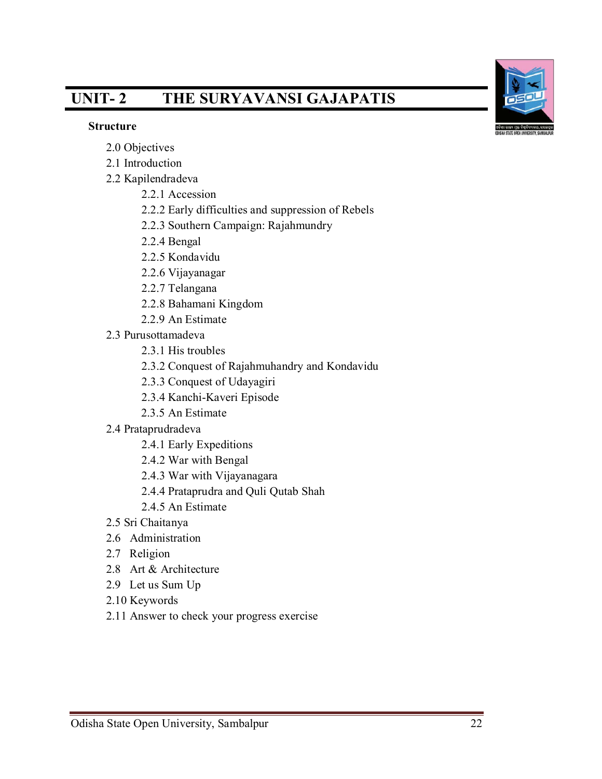# **UNIT- 2 THE SURYAVANSI GAJAPATIS**

#### **Structure**

- 2.0 Objectives
- 2.1 Introduction
- 2.2 Kapilendradeva
	- 2.2.1 Accession
	- 2.2.2 Early difficulties and suppression of Rebels
	- 2.2.3 Southern Campaign: Rajahmundry
	- 2.2.4 Bengal
	- 2.2.5 Kondavidu
	- 2.2.6 Vijayanagar
	- 2.2.7 Telangana
	- 2.2.8 Bahamani Kingdom
	- 2.2.9 An Estimate
- 2.3 Purusottamadeva
	- 2.3.1 His troubles
	- 2.3.2 Conquest of Rajahmuhandry and Kondavidu
	- 2.3.3 Conquest of Udayagiri
	- 2.3.4 Kanchi-Kaveri Episode
	- 2.3.5 An Estimate
- 2.4 Prataprudradeva
	- 2.4.1 Early Expeditions
	- 2.4.2 War with Bengal
	- 2.4.3 War with Vijayanagara
	- 2.4.4 Prataprudra and Quli Qutab Shah
	- 2.4.5 An Estimate
- 2.5 Sri Chaitanya
- 2.6 Administration
- 2.7 Religion
- 2.8 Art & Architecture
- 2.9 Let us Sum Up
- 2.10 Keywords
- 2.11 Answer to check your progress exercise

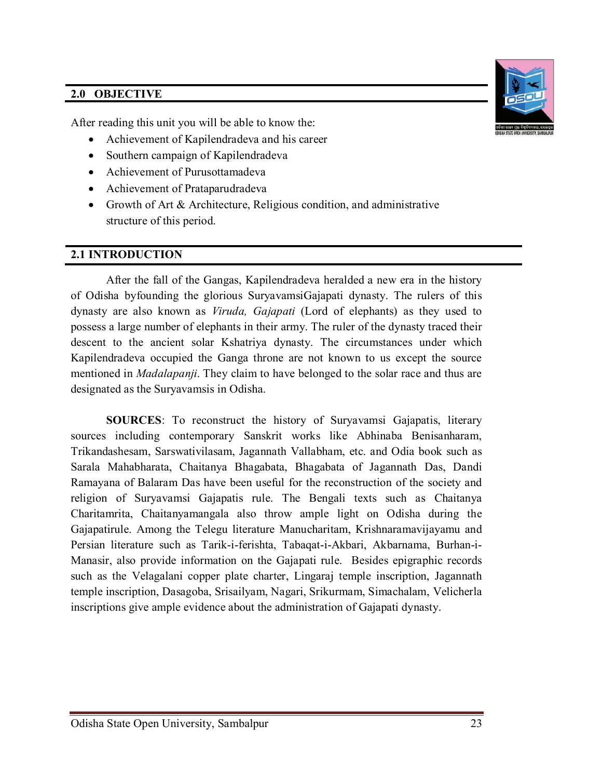## **2.0 OBJECTIVE**

After reading this unit you will be able to know the:

- Achievement of Kapilendradeva and his career
- Southern campaign of Kapilendradeva
- Achievement of Purusottamadeva
- Achievement of Prataparudradeva
- Growth of Art & Architecture, Religious condition, and administrative structure of this period.

#### **2.1 INTRODUCTION**

After the fall of the Gangas, Kapilendradeva heralded a new era in the history of Odisha byfounding the glorious SuryavamsiGajapati dynasty. The rulers of this dynasty are also known as *Viruda, Gajapati* (Lord of elephants) as they used to possess a large number of elephants in their army. The ruler of the dynasty traced their descent to the ancient solar Kshatriya dynasty. The circumstances under which Kapilendradeva occupied the Ganga throne are not known to us except the source mentioned in *Madalapanji*. They claim to have belonged to the solar race and thus are designated as the Suryavamsis in Odisha.

**SOURCES**: To reconstruct the history of Suryavamsi Gajapatis, literary sources including contemporary Sanskrit works like Abhinaba Benisanharam, Trikandashesam, Sarswativilasam, Jagannath Vallabham, etc. and Odia book such as Sarala Mahabharata, Chaitanya Bhagabata, Bhagabata of Jagannath Das, Dandi Ramayana of Balaram Das have been useful for the reconstruction of the society and religion of Suryavamsi Gajapatis rule. The Bengali texts such as Chaitanya Charitamrita, Chaitanyamangala also throw ample light on Odisha during the Gajapatirule. Among the Telegu literature Manucharitam, Krishnaramavijayamu and Persian literature such as Tarik-i-ferishta, Tabaqat-i-Akbari, Akbarnama, Burhan-i-Manasir, also provide information on the Gajapati rule. Besides epigraphic records such as the Velagalani copper plate charter, Lingaraj temple inscription, Jagannath temple inscription, Dasagoba, Srisailyam, Nagari, Srikurmam, Simachalam, Velicherla inscriptions give ample evidence about the administration of Gajapati dynasty.

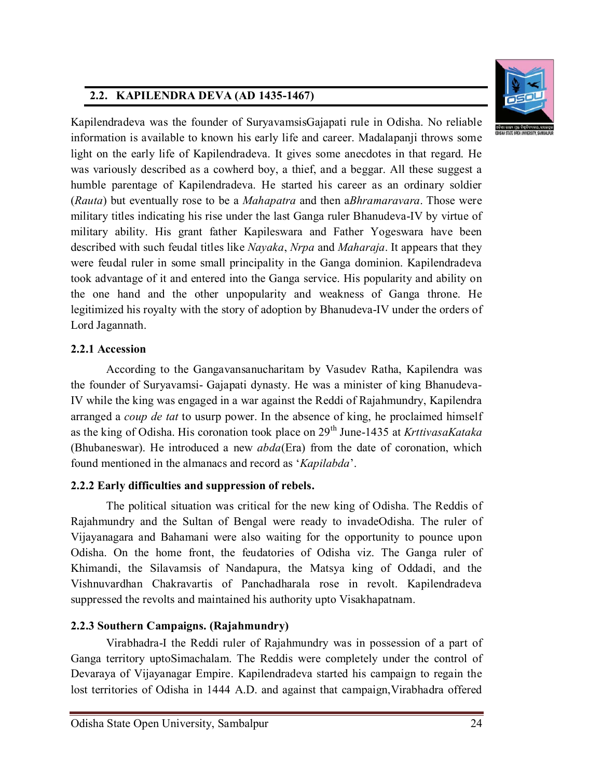## **2.2. KAPILENDRA DEVA (AD 1435-1467)**



Kapilendradeva was the founder of SuryavamsisGajapati rule in Odisha. No reliable information is available to known his early life and career. Madalapanji throws some light on the early life of Kapilendradeva. It gives some anecdotes in that regard. He was variously described as a cowherd boy, a thief, and a beggar. All these suggest a humble parentage of Kapilendradeva. He started his career as an ordinary soldier (*Rauta*) but eventually rose to be a *Mahapatra* and then a*Bhramaravara*. Those were military titles indicating his rise under the last Ganga ruler Bhanudeva-IV by virtue of military ability. His grant father Kapileswara and Father Yogeswara have been described with such feudal titles like *Nayaka*, *Nrpa* and *Maharaja*. It appears that they were feudal ruler in some small principality in the Ganga dominion. Kapilendradeva took advantage of it and entered into the Ganga service. His popularity and ability on the one hand and the other unpopularity and weakness of Ganga throne. He legitimized his royalty with the story of adoption by Bhanudeva-IV under the orders of Lord Jagannath.

## **2.2.1 Accession**

According to the Gangavansanucharitam by Vasudev Ratha, Kapilendra was the founder of Suryavamsi- Gajapati dynasty. He was a minister of king Bhanudeva-IV while the king was engaged in a war against the Reddi of Rajahmundry, Kapilendra arranged a *coup de tat* to usurp power. In the absence of king, he proclaimed himself as the king of Odisha. His coronation took place on 29th June-1435 at *KrttivasaKataka* (Bhubaneswar). He introduced a new *abda*(Era) from the date of coronation, which found mentioned in the almanacs and record as '*Kapilabda*'.

## **2.2.2 Early difficulties and suppression of rebels.**

The political situation was critical for the new king of Odisha. The Reddis of Rajahmundry and the Sultan of Bengal were ready to invadeOdisha. The ruler of Vijayanagara and Bahamani were also waiting for the opportunity to pounce upon Odisha. On the home front, the feudatories of Odisha viz. The Ganga ruler of Khimandi, the Silavamsis of Nandapura, the Matsya king of Oddadi, and the Vishnuvardhan Chakravartis of Panchadharala rose in revolt. Kapilendradeva suppressed the revolts and maintained his authority upto Visakhapatnam.

## **2.2.3 Southern Campaigns. (Rajahmundry)**

Virabhadra-I the Reddi ruler of Rajahmundry was in possession of a part of Ganga territory uptoSimachalam. The Reddis were completely under the control of Devaraya of Vijayanagar Empire. Kapilendradeva started his campaign to regain the lost territories of Odisha in 1444 A.D. and against that campaign, Virabhadra offered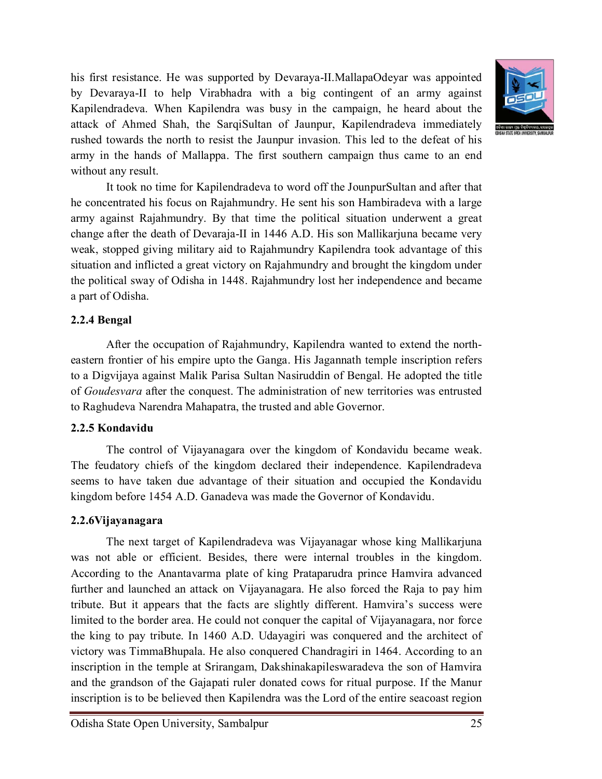his first resistance. He was supported by Devaraya-II.MallapaOdeyar was appointed by Devaraya-II to help Virabhadra with a big contingent of an army against Kapilendradeva. When Kapilendra was busy in the campaign, he heard about the attack of Ahmed Shah, the SarqiSultan of Jaunpur, Kapilendradeva immediately rushed towards the north to resist the Jaunpur invasion. This led to the defeat of his army in the hands of Mallappa. The first southern campaign thus came to an end without any result.



It took no time for Kapilendradeva to word off the JounpurSultan and after that he concentrated his focus on Rajahmundry. He sent his son Hambiradeva with a large army against Rajahmundry. By that time the political situation underwent a great change after the death of Devaraja-II in 1446 A.D. His son Mallikarjuna became very weak, stopped giving military aid to Rajahmundry Kapilendra took advantage of this situation and inflicted a great victory on Rajahmundry and brought the kingdom under the political sway of Odisha in 1448. Rajahmundry lost her independence and became a part of Odisha.

### **2.2.4 Bengal**

After the occupation of Rajahmundry, Kapilendra wanted to extend the northeastern frontier of his empire upto the Ganga. His Jagannath temple inscription refers to a Digvijaya against Malik Parisa Sultan Nasiruddin of Bengal. He adopted the title of *Goudesvara* after the conquest. The administration of new territories was entrusted to Raghudeva Narendra Mahapatra, the trusted and able Governor.

## **2.2.5 Kondavidu**

The control of Vijayanagara over the kingdom of Kondavidu became weak. The feudatory chiefs of the kingdom declared their independence. Kapilendradeva seems to have taken due advantage of their situation and occupied the Kondavidu kingdom before 1454 A.D. Ganadeva was made the Governor of Kondavidu.

## **2.2.6Vijayanagara**

The next target of Kapilendradeva was Vijayanagar whose king Mallikarjuna was not able or efficient. Besides, there were internal troubles in the kingdom. According to the Anantavarma plate of king Prataparudra prince Hamvira advanced further and launched an attack on Vijayanagara. He also forced the Raja to pay him tribute. But it appears that the facts are slightly different. Hamvira's success were limited to the border area. He could not conquer the capital of Vijayanagara, nor force the king to pay tribute. In 1460 A.D. Udayagiri was conquered and the architect of victory was TimmaBhupala. He also conquered Chandragiri in 1464. According to an inscription in the temple at Srirangam, Dakshinakapileswaradeva the son of Hamvira and the grandson of the Gajapati ruler donated cows for ritual purpose. If the Manur inscription is to be believed then Kapilendra was the Lord of the entire seacoast region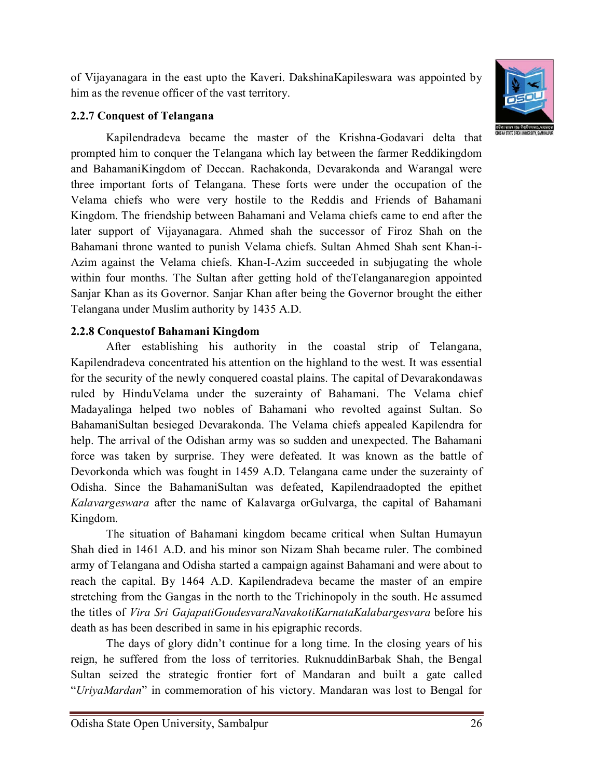of Vijayanagara in the east upto the Kaveri. DakshinaKapileswara was appointed by him as the revenue officer of the vast territory.

## **2.2.7 Conquest of Telangana**

Kapilendradeva became the master of the Krishna-Godavari delta that prompted him to conquer the Telangana which lay between the farmer Reddikingdom and BahamaniKingdom of Deccan. Rachakonda, Devarakonda and Warangal were three important forts of Telangana. These forts were under the occupation of the Velama chiefs who were very hostile to the Reddis and Friends of Bahamani Kingdom. The friendship between Bahamani and Velama chiefs came to end after the later support of Vijayanagara. Ahmed shah the successor of Firoz Shah on the Bahamani throne wanted to punish Velama chiefs. Sultan Ahmed Shah sent Khan-i-Azim against the Velama chiefs. Khan-I-Azim succeeded in subjugating the whole within four months. The Sultan after getting hold of theTelanganaregion appointed Sanjar Khan as its Governor. Sanjar Khan after being the Governor brought the either Telangana under Muslim authority by 1435 A.D.

## **2.2.8 Conquestof Bahamani Kingdom**

After establishing his authority in the coastal strip of Telangana, Kapilendradeva concentrated his attention on the highland to the west. It was essential for the security of the newly conquered coastal plains. The capital of Devarakondawas ruled by HinduVelama under the suzerainty of Bahamani. The Velama chief Madayalinga helped two nobles of Bahamani who revolted against Sultan. So BahamaniSultan besieged Devarakonda. The Velama chiefs appealed Kapilendra for help. The arrival of the Odishan army was so sudden and unexpected. The Bahamani force was taken by surprise. They were defeated. It was known as the battle of Devorkonda which was fought in 1459 A.D. Telangana came under the suzerainty of Odisha. Since the BahamaniSultan was defeated, Kapilendraadopted the epithet *Kalavargeswara* after the name of Kalavarga orGulvarga, the capital of Bahamani Kingdom.

The situation of Bahamani kingdom became critical when Sultan Humayun Shah died in 1461 A.D. and his minor son Nizam Shah became ruler. The combined army of Telangana and Odisha started a campaign against Bahamani and were about to reach the capital. By 1464 A.D. Kapilendradeva became the master of an empire stretching from the Gangas in the north to the Trichinopoly in the south. He assumed the titles of *Vira Sri GajapatiGoudesvaraNavakotiKarnataKalabargesvara* before his death as has been described in same in his epigraphic records.

The days of glory didn't continue for a long time. In the closing years of his reign, he suffered from the loss of territories. RuknuddinBarbak Shah, the Bengal Sultan seized the strategic frontier fort of Mandaran and built a gate called "*UriyaMardan*" in commemoration of his victory. Mandaran was lost to Bengal for

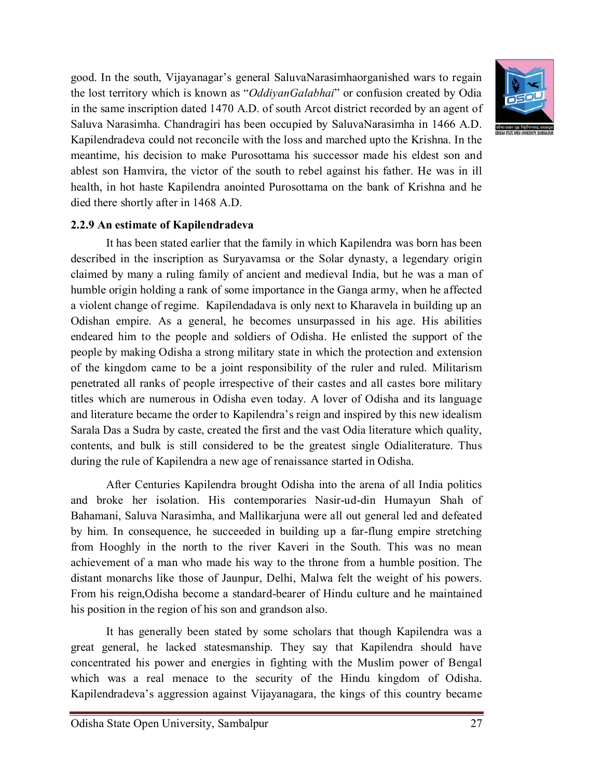good. In the south, Vijayanagar's general SaluvaNarasimhaorganished wars to regain the lost territory which is known as "*OddiyanGalabhai*" or confusion created by Odia in the same inscription dated 1470 A.D. of south Arcot district recorded by an agent of Saluva Narasimha. Chandragiri has been occupied by SaluvaNarasimha in 1466 A.D. Kapilendradeva could not reconcile with the loss and marched upto the Krishna. In the meantime, his decision to make Purosottama his successor made his eldest son and ablest son Hamvira, the victor of the south to rebel against his father. He was in ill health, in hot haste Kapilendra anointed Purosottama on the bank of Krishna and he died there shortly after in 1468 A.D.



#### **2.2.9 An estimate of Kapilendradeva**

It has been stated earlier that the family in which Kapilendra was born has been described in the inscription as Suryavamsa or the Solar dynasty, a legendary origin claimed by many a ruling family of ancient and medieval India, but he was a man of humble origin holding a rank of some importance in the Ganga army, when he affected a violent change of regime. Kapilendadava is only next to Kharavela in building up an Odishan empire. As a general, he becomes unsurpassed in his age. His abilities endeared him to the people and soldiers of Odisha. He enlisted the support of the people by making Odisha a strong military state in which the protection and extension of the kingdom came to be a joint responsibility of the ruler and ruled. Militarism penetrated all ranks of people irrespective of their castes and all castes bore military titles which are numerous in Odisha even today. A lover of Odisha and its language and literature became the order to Kapilendra's reign and inspired by this new idealism Sarala Das a Sudra by caste, created the first and the vast Odia literature which quality, contents, and bulk is still considered to be the greatest single Odialiterature. Thus during the rule of Kapilendra a new age of renaissance started in Odisha.

After Centuries Kapilendra brought Odisha into the arena of all India politics and broke her isolation. His contemporaries Nasir-ud-din Humayun Shah of Bahamani, Saluva Narasimha, and Mallikarjuna were all out general led and defeated by him. In consequence, he succeeded in building up a far-flung empire stretching from Hooghly in the north to the river Kaveri in the South. This was no mean achievement of a man who made his way to the throne from a humble position. The distant monarchs like those of Jaunpur, Delhi, Malwa felt the weight of his powers. From his reign,Odisha become a standard-bearer of Hindu culture and he maintained his position in the region of his son and grandson also.

It has generally been stated by some scholars that though Kapilendra was a great general, he lacked statesmanship. They say that Kapilendra should have concentrated his power and energies in fighting with the Muslim power of Bengal which was a real menace to the security of the Hindu kingdom of Odisha. Kapilendradeva's aggression against Vijayanagara, the kings of this country became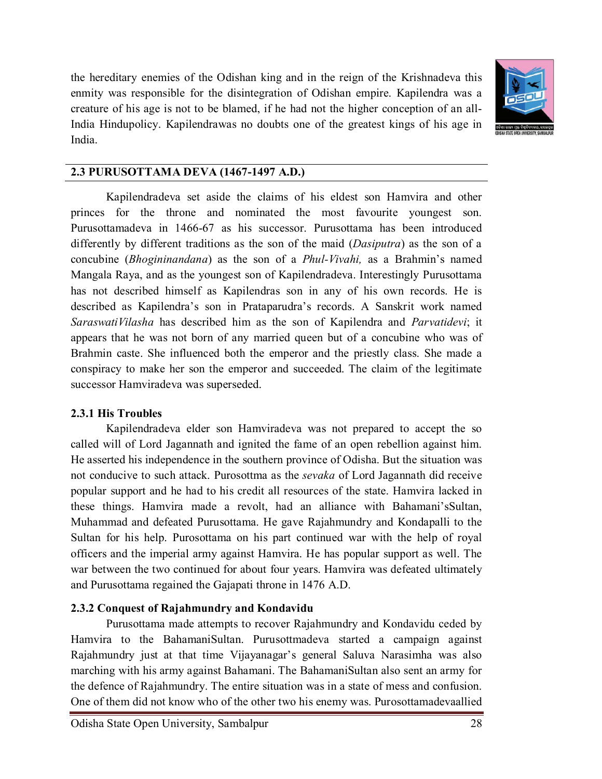the hereditary enemies of the Odishan king and in the reign of the Krishnadeva this enmity was responsible for the disintegration of Odishan empire. Kapilendra was a creature of his age is not to be blamed, if he had not the higher conception of an all-India Hindupolicy. Kapilendrawas no doubts one of the greatest kings of his age in India.



#### **2.3 PURUSOTTAMA DEVA (1467-1497 A.D.)**

Kapilendradeva set aside the claims of his eldest son Hamvira and other princes for the throne and nominated the most favourite youngest son. Purusottamadeva in 1466-67 as his successor. Purusottama has been introduced differently by different traditions as the son of the maid (*Dasiputra*) as the son of a concubine (*Bhogininandana*) as the son of a *Phul-Vivahi,* as a Brahmin's named Mangala Raya, and as the youngest son of Kapilendradeva. Interestingly Purusottama has not described himself as Kapilendras son in any of his own records. He is described as Kapilendra's son in Prataparudra's records. A Sanskrit work named *SaraswatiVilasha* has described him as the son of Kapilendra and *Parvatidevi*; it appears that he was not born of any married queen but of a concubine who was of Brahmin caste. She influenced both the emperor and the priestly class. She made a conspiracy to make her son the emperor and succeeded. The claim of the legitimate successor Hamviradeva was superseded.

#### **2.3.1 His Troubles**

Kapilendradeva elder son Hamviradeva was not prepared to accept the so called will of Lord Jagannath and ignited the fame of an open rebellion against him. He asserted his independence in the southern province of Odisha. But the situation was not conducive to such attack. Purosottma as the *sevaka* of Lord Jagannath did receive popular support and he had to his credit all resources of the state. Hamvira lacked in these things. Hamvira made a revolt, had an alliance with Bahamani'sSultan, Muhammad and defeated Purusottama. He gave Rajahmundry and Kondapalli to the Sultan for his help. Purosottama on his part continued war with the help of royal officers and the imperial army against Hamvira. He has popular support as well. The war between the two continued for about four years. Hamvira was defeated ultimately and Purusottama regained the Gajapati throne in 1476 A.D.

#### **2.3.2 Conquest of Rajahmundry and Kondavidu**

Purusottama made attempts to recover Rajahmundry and Kondavidu ceded by Hamvira to the BahamaniSultan. Purusottmadeva started a campaign against Rajahmundry just at that time Vijayanagar's general Saluva Narasimha was also marching with his army against Bahamani. The BahamaniSultan also sent an army for the defence of Rajahmundry. The entire situation was in a state of mess and confusion. One of them did not know who of the other two his enemy was. Purosottamadevaallied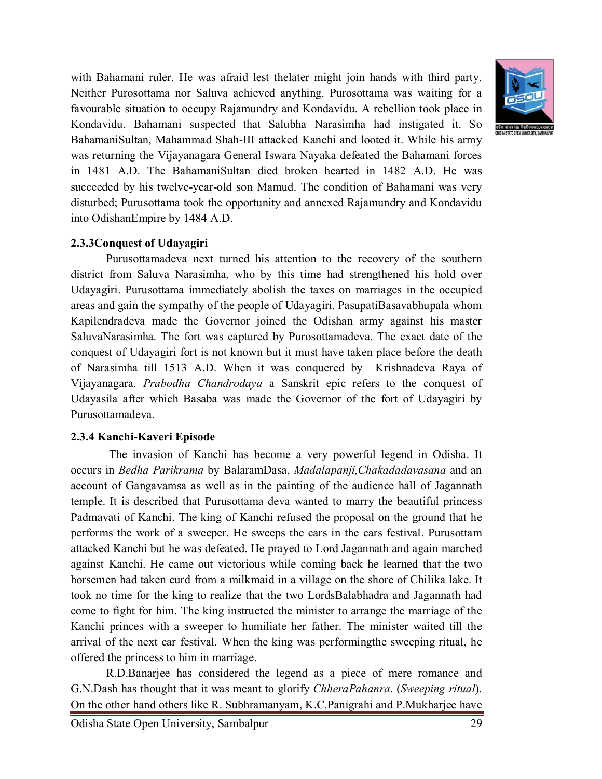

with Bahamani ruler. He was afraid lest thelater might join hands with third party. Neither Purosottama nor Saluva achieved anything. Purosottama was waiting for a favourable situation to occupy Rajamundry and Kondavidu. A rebellion took place in Kondavidu. Bahamani suspected that Salubha Narasimha had instigated it. So BahamaniSultan, Mahammad Shah-III attacked Kanchi and looted it. While his army was returning the Vijayanagara General Iswara Nayaka defeated the Bahamani forces in 1481 A.D. The BahamaniSultan died broken hearted in 1482 A.D. He was succeeded by his twelve-year-old son Mamud. The condition of Bahamani was very disturbed; Purusottama took the opportunity and annexed Rajamundry and Kondavidu into OdishanEmpire by 1484 A.D.

### **2.3.3Conquest of Udayagiri**

Purusottamadeva next turned his attention to the recovery of the southern district from Saluva Narasimha, who by this time had strengthened his hold over Udayagiri. Purusottama immediately abolish the taxes on marriages in the occupied areas and gain the sympathy of the people of Udayagiri. PasupatiBasavabhupala whom Kapilendradeva made the Governor joined the Odishan army against his master SaluvaNarasimha. The fort was captured by Purosottamadeva. The exact date of the conquest of Udayagiri fort is not known but it must have taken place before the death of Narasimha till 1513 A.D. When it was conquered by Krishnadeva Raya of Vijayanagara. *Prabodha Chandrodaya* a Sanskrit epic refers to the conquest of Udayasila after which Basaba was made the Governor of the fort of Udayagiri by Purusottamadeva.

#### **2.3.4 Kanchi-Kaveri Episode**

The invasion of Kanchi has become a very powerful legend in Odisha. It occurs in *Bedha Parikrama* by BalaramDasa, *Madalapanji,Chakadadavasana* and an account of Gangavamsa as well as in the painting of the audience hall of Jagannath temple. It is described that Purusottama deva wanted to marry the beautiful princess Padmavati of Kanchi. The king of Kanchi refused the proposal on the ground that he performs the work of a sweeper. He sweeps the cars in the cars festival. Purusottam attacked Kanchi but he was defeated. He prayed to Lord Jagannath and again marched against Kanchi. He came out victorious while coming back he learned that the two horsemen had taken curd from a milkmaid in a village on the shore of Chilika lake. It took no time for the king to realize that the two LordsBalabhadra and Jagannath had come to fight for him. The king instructed the minister to arrange the marriage of the Kanchi princes with a sweeper to humiliate her father. The minister waited till the arrival of the next car festival. When the king was performingthe sweeping ritual, he offered the princess to him in marriage.

R.D.Banarjee has considered the legend as a piece of mere romance and G.N.Dash has thought that it was meant to glorify *ChheraPahanra*. (*Sweeping ritual*). On the other hand others like R. Subhramanyam, K.C.Panigrahi and P.Mukharjee have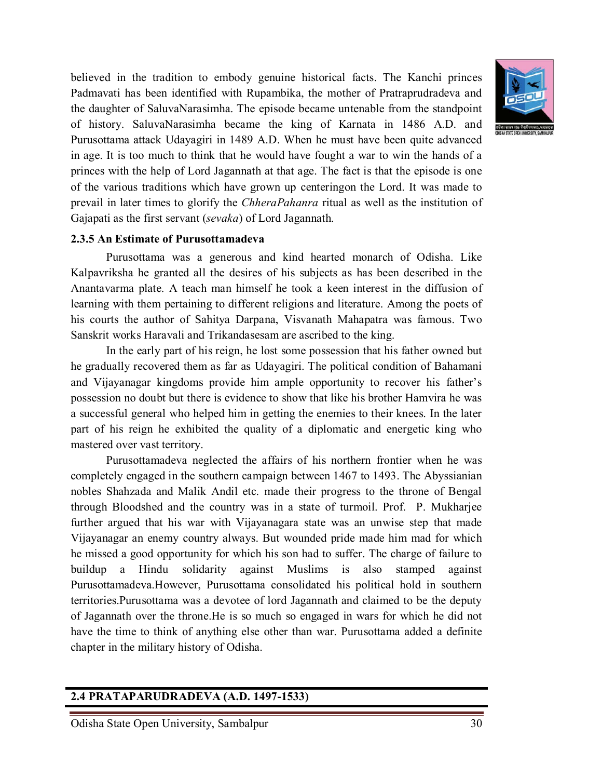

believed in the tradition to embody genuine historical facts. The Kanchi princes Padmavati has been identified with Rupambika, the mother of Pratraprudradeva and the daughter of SaluvaNarasimha. The episode became untenable from the standpoint of history. SaluvaNarasimha became the king of Karnata in 1486 A.D. and Purusottama attack Udayagiri in 1489 A.D. When he must have been quite advanced in age. It is too much to think that he would have fought a war to win the hands of a princes with the help of Lord Jagannath at that age. The fact is that the episode is one of the various traditions which have grown up centeringon the Lord. It was made to prevail in later times to glorify the *ChheraPahanra* ritual as well as the institution of Gajapati as the first servant (*sevaka*) of Lord Jagannath.

#### **2.3.5 An Estimate of Purusottamadeva**

Purusottama was a generous and kind hearted monarch of Odisha. Like Kalpavriksha he granted all the desires of his subjects as has been described in the Anantavarma plate. A teach man himself he took a keen interest in the diffusion of learning with them pertaining to different religions and literature. Among the poets of his courts the author of Sahitya Darpana, Visvanath Mahapatra was famous. Two Sanskrit works Haravali and Trikandasesam are ascribed to the king.

In the early part of his reign, he lost some possession that his father owned but he gradually recovered them as far as Udayagiri. The political condition of Bahamani and Vijayanagar kingdoms provide him ample opportunity to recover his father's possession no doubt but there is evidence to show that like his brother Hamvira he was a successful general who helped him in getting the enemies to their knees. In the later part of his reign he exhibited the quality of a diplomatic and energetic king who mastered over vast territory.

Purusottamadeva neglected the affairs of his northern frontier when he was completely engaged in the southern campaign between 1467 to 1493. The Abyssianian nobles Shahzada and Malik Andil etc. made their progress to the throne of Bengal through Bloodshed and the country was in a state of turmoil. Prof. P. Mukharjee further argued that his war with Vijayanagara state was an unwise step that made Vijayanagar an enemy country always. But wounded pride made him mad for which he missed a good opportunity for which his son had to suffer. The charge of failure to buildup a Hindu solidarity against Muslims is also stamped against Purusottamadeva.However, Purusottama consolidated his political hold in southern territories.Purusottama was a devotee of lord Jagannath and claimed to be the deputy of Jagannath over the throne.He is so much so engaged in wars for which he did not have the time to think of anything else other than war. Purusottama added a definite chapter in the military history of Odisha.

#### **2.4 PRATAPARUDRADEVA (A.D. 1497-1533)**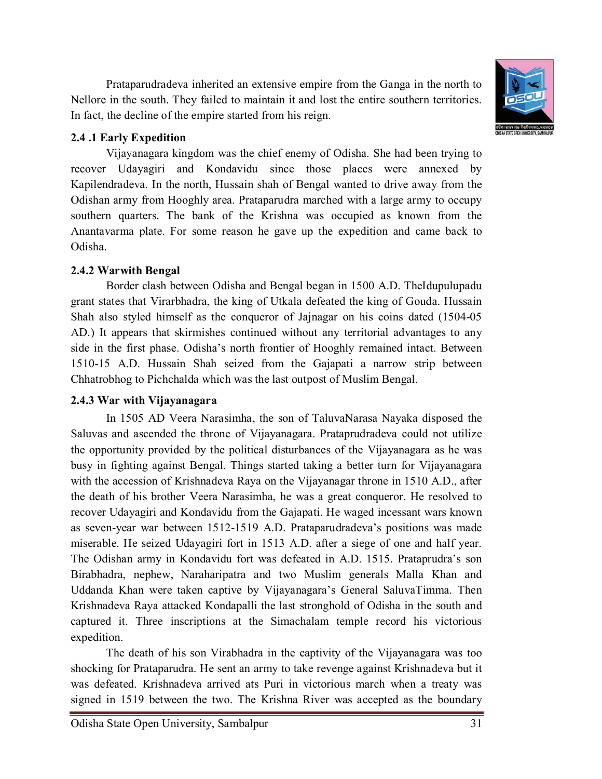Odisha State Open University, Sambalpur 31

Prataparudradeva inherited an extensive empire from the Ganga in the north to Nellore in the south. They failed to maintain it and lost the entire southern territories. In fact, the decline of the empire started from his reign.

### **2.4 .1 Early Expedition**

Vijayanagara kingdom was the chief enemy of Odisha. She had been trying to recover Udayagiri and Kondavidu since those places were annexed by Kapilendradeva. In the north, Hussain shah of Bengal wanted to drive away from the Odishan army from Hooghly area. Prataparudra marched with a large army to occupy southern quarters. The bank of the Krishna was occupied as known from the Anantavarma plate. For some reason he gave up the expedition and came back to Odisha.

## **2.4.2 Warwith Bengal**

Border clash between Odisha and Bengal began in 1500 A.D. TheIdupulupadu grant states that Virarbhadra, the king of Utkala defeated the king of Gouda. Hussain Shah also styled himself as the conqueror of Jajnagar on his coins dated (1504-05 AD.) It appears that skirmishes continued without any territorial advantages to any side in the first phase. Odisha's north frontier of Hooghly remained intact. Between 1510-15 A.D. Hussain Shah seized from the Gajapati a narrow strip between Chhatrobhog to Pichchalda which was the last outpost of Muslim Bengal.

## **2.4.3 War with Vijayanagara**

In 1505 AD Veera Narasimha, the son of TaluvaNarasa Nayaka disposed the Saluvas and ascended the throne of Vijayanagara. Prataprudradeva could not utilize the opportunity provided by the political disturbances of the Vijayanagara as he was busy in fighting against Bengal. Things started taking a better turn for Vijayanagara with the accession of Krishnadeva Raya on the Vijayanagar throne in 1510 A.D., after the death of his brother Veera Narasimha, he was a great conqueror. He resolved to recover Udayagiri and Kondavidu from the Gajapati. He waged incessant wars known as seven-year war between 1512-1519 A.D. Prataparudradeva's positions was made miserable. He seized Udayagiri fort in 1513 A.D. after a siege of one and half year. The Odishan army in Kondavidu fort was defeated in A.D. 1515. Prataprudra's son Birabhadra, nephew, Naraharipatra and two Muslim generals Malla Khan and Uddanda Khan were taken captive by Vijayanagara's General SaluvaTimma. Then Krishnadeva Raya attacked Kondapalli the last stronghold of Odisha in the south and captured it. Three inscriptions at the Simachalam temple record his victorious expedition.

The death of his son Virabhadra in the captivity of the Vijayanagara was too shocking for Prataparudra. He sent an army to take revenge against Krishnadeva but it was defeated. Krishnadeva arrived ats Puri in victorious march when a treaty was signed in 1519 between the two. The Krishna River was accepted as the boundary

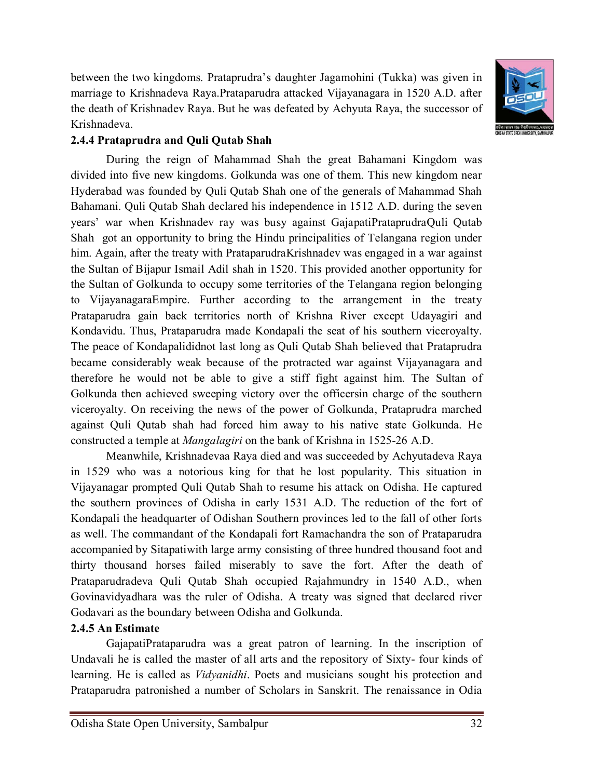between the two kingdoms. Prataprudra's daughter Jagamohini (Tukka) was given in marriage to Krishnadeva Raya.Prataparudra attacked Vijayanagara in 1520 A.D. after the death of Krishnadev Raya. But he was defeated by Achyuta Raya, the successor of Krishnadeva.



### **2.4.4 Prataprudra and Quli Qutab Shah**

During the reign of Mahammad Shah the great Bahamani Kingdom was divided into five new kingdoms. Golkunda was one of them. This new kingdom near Hyderabad was founded by Quli Qutab Shah one of the generals of Mahammad Shah Bahamani. Quli Qutab Shah declared his independence in 1512 A.D. during the seven years' war when Krishnadev ray was busy against GajapatiPrataprudraQuli Qutab Shah got an opportunity to bring the Hindu principalities of Telangana region under him. Again, after the treaty with PrataparudraKrishnadev was engaged in a war against the Sultan of Bijapur Ismail Adil shah in 1520. This provided another opportunity for the Sultan of Golkunda to occupy some territories of the Telangana region belonging to VijayanagaraEmpire. Further according to the arrangement in the treaty Prataparudra gain back territories north of Krishna River except Udayagiri and Kondavidu. Thus, Prataparudra made Kondapali the seat of his southern viceroyalty. The peace of Kondapalididnot last long as Quli Qutab Shah believed that Prataprudra became considerably weak because of the protracted war against Vijayanagara and therefore he would not be able to give a stiff fight against him. The Sultan of Golkunda then achieved sweeping victory over the officersin charge of the southern viceroyalty. On receiving the news of the power of Golkunda, Prataprudra marched against Quli Qutab shah had forced him away to his native state Golkunda. He constructed a temple at *Mangalagiri* on the bank of Krishna in 1525-26 A.D.

Meanwhile, Krishnadevaa Raya died and was succeeded by Achyutadeva Raya in 1529 who was a notorious king for that he lost popularity. This situation in Vijayanagar prompted Quli Qutab Shah to resume his attack on Odisha. He captured the southern provinces of Odisha in early 1531 A.D. The reduction of the fort of Kondapali the headquarter of Odishan Southern provinces led to the fall of other forts as well. The commandant of the Kondapali fort Ramachandra the son of Prataparudra accompanied by Sitapatiwith large army consisting of three hundred thousand foot and thirty thousand horses failed miserably to save the fort. After the death of Prataparudradeva Quli Qutab Shah occupied Rajahmundry in 1540 A.D., when Govinavidyadhara was the ruler of Odisha. A treaty was signed that declared river Godavari as the boundary between Odisha and Golkunda.

## **2.4.5 An Estimate**

GajapatiPrataparudra was a great patron of learning. In the inscription of Undavali he is called the master of all arts and the repository of Sixty- four kinds of learning. He is called as *Vidyanidhi*. Poets and musicians sought his protection and Prataparudra patronished a number of Scholars in Sanskrit. The renaissance in Odia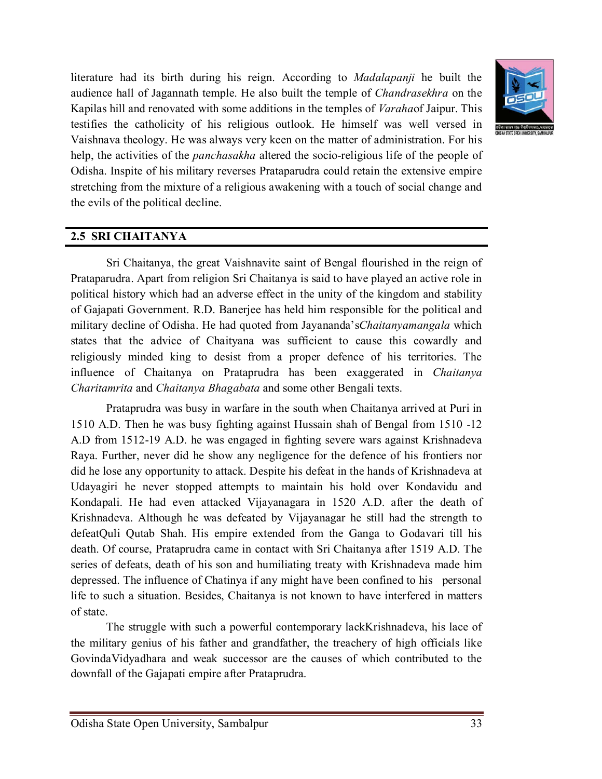

literature had its birth during his reign. According to *Madalapanji* he built the audience hall of Jagannath temple. He also built the temple of *Chandrasekhra* on the Kapilas hill and renovated with some additions in the temples of *Varaha*of Jaipur. This testifies the catholicity of his religious outlook. He himself was well versed in Vaishnava theology. He was always very keen on the matter of administration. For his help, the activities of the *panchasakha* altered the socio-religious life of the people of Odisha. Inspite of his military reverses Prataparudra could retain the extensive empire stretching from the mixture of a religious awakening with a touch of social change and the evils of the political decline.

## **2.5 SRI CHAITANYA**

Sri Chaitanya, the great Vaishnavite saint of Bengal flourished in the reign of Prataparudra. Apart from religion Sri Chaitanya is said to have played an active role in political history which had an adverse effect in the unity of the kingdom and stability of Gajapati Government. R.D. Banerjee has held him responsible for the political and military decline of Odisha. He had quoted from Jayananda's*Chaitanyamangala* which states that the advice of Chaityana was sufficient to cause this cowardly and religiously minded king to desist from a proper defence of his territories. The influence of Chaitanya on Prataprudra has been exaggerated in *Chaitanya Charitamrita* and *Chaitanya Bhagabata* and some other Bengali texts.

Prataprudra was busy in warfare in the south when Chaitanya arrived at Puri in 1510 A.D. Then he was busy fighting against Hussain shah of Bengal from 1510 -12 A.D from 1512-19 A.D. he was engaged in fighting severe wars against Krishnadeva Raya. Further, never did he show any negligence for the defence of his frontiers nor did he lose any opportunity to attack. Despite his defeat in the hands of Krishnadeva at Udayagiri he never stopped attempts to maintain his hold over Kondavidu and Kondapali. He had even attacked Vijayanagara in 1520 A.D. after the death of Krishnadeva. Although he was defeated by Vijayanagar he still had the strength to defeatQuli Qutab Shah. His empire extended from the Ganga to Godavari till his death. Of course, Prataprudra came in contact with Sri Chaitanya after 1519 A.D. The series of defeats, death of his son and humiliating treaty with Krishnadeva made him depressed. The influence of Chatinya if any might have been confined to his personal life to such a situation. Besides, Chaitanya is not known to have interfered in matters of state.

The struggle with such a powerful contemporary lackKrishnadeva, his lace of the military genius of his father and grandfather, the treachery of high officials like GovindaVidyadhara and weak successor are the causes of which contributed to the downfall of the Gajapati empire after Prataprudra.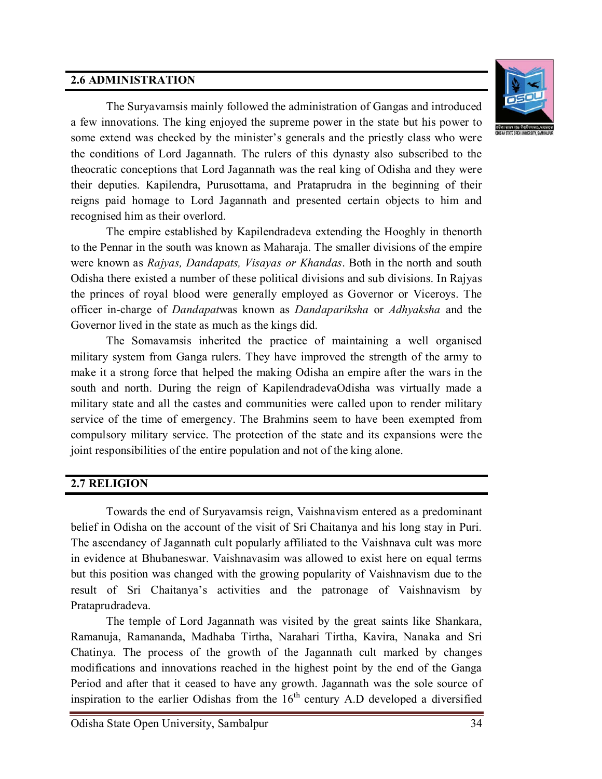#### **2.6 ADMINISTRATION**



The Suryavamsis mainly followed the administration of Gangas and introduced a few innovations. The king enjoyed the supreme power in the state but his power to some extend was checked by the minister's generals and the priestly class who were the conditions of Lord Jagannath. The rulers of this dynasty also subscribed to the theocratic conceptions that Lord Jagannath was the real king of Odisha and they were their deputies. Kapilendra, Purusottama, and Prataprudra in the beginning of their reigns paid homage to Lord Jagannath and presented certain objects to him and recognised him as their overlord.

The empire established by Kapilendradeva extending the Hooghly in thenorth to the Pennar in the south was known as Maharaja. The smaller divisions of the empire were known as *Rajyas, Dandapats, Visayas or Khandas*. Both in the north and south Odisha there existed a number of these political divisions and sub divisions. In Rajyas the princes of royal blood were generally employed as Governor or Viceroys. The officer in-charge of *Dandapat*was known as *Dandapariksha* or *Adhyaksha* and the Governor lived in the state as much as the kings did.

The Somavamsis inherited the practice of maintaining a well organised military system from Ganga rulers. They have improved the strength of the army to make it a strong force that helped the making Odisha an empire after the wars in the south and north. During the reign of KapilendradevaOdisha was virtually made a military state and all the castes and communities were called upon to render military service of the time of emergency. The Brahmins seem to have been exempted from compulsory military service. The protection of the state and its expansions were the joint responsibilities of the entire population and not of the king alone.

#### **2.7 RELIGION**

Towards the end of Suryavamsis reign, Vaishnavism entered as a predominant belief in Odisha on the account of the visit of Sri Chaitanya and his long stay in Puri. The ascendancy of Jagannath cult popularly affiliated to the Vaishnava cult was more in evidence at Bhubaneswar. Vaishnavasim was allowed to exist here on equal terms but this position was changed with the growing popularity of Vaishnavism due to the result of Sri Chaitanya's activities and the patronage of Vaishnavism by Prataprudradeva.

The temple of Lord Jagannath was visited by the great saints like Shankara, Ramanuja, Ramananda, Madhaba Tirtha, Narahari Tirtha, Kavira, Nanaka and Sri Chatinya. The process of the growth of the Jagannath cult marked by changes modifications and innovations reached in the highest point by the end of the Ganga Period and after that it ceased to have any growth. Jagannath was the sole source of inspiration to the earlier Odishas from the  $16<sup>th</sup>$  century A.D developed a diversified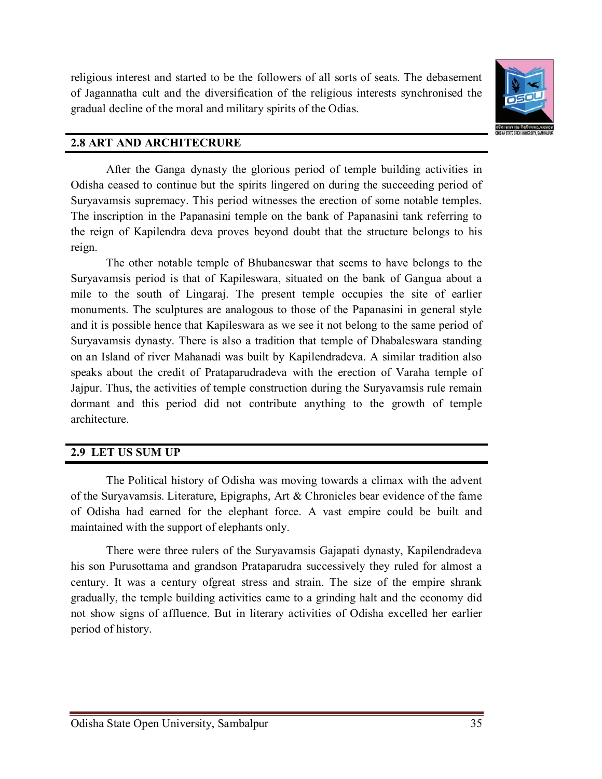

### **2.8 ART AND ARCHITECRURE**

After the Ganga dynasty the glorious period of temple building activities in Odisha ceased to continue but the spirits lingered on during the succeeding period of Suryavamsis supremacy. This period witnesses the erection of some notable temples. The inscription in the Papanasini temple on the bank of Papanasini tank referring to the reign of Kapilendra deva proves beyond doubt that the structure belongs to his reign.

The other notable temple of Bhubaneswar that seems to have belongs to the Suryavamsis period is that of Kapileswara, situated on the bank of Gangua about a mile to the south of Lingaraj. The present temple occupies the site of earlier monuments. The sculptures are analogous to those of the Papanasini in general style and it is possible hence that Kapileswara as we see it not belong to the same period of Suryavamsis dynasty. There is also a tradition that temple of Dhabaleswara standing on an Island of river Mahanadi was built by Kapilendradeva. A similar tradition also speaks about the credit of Prataparudradeva with the erection of Varaha temple of Jajpur. Thus, the activities of temple construction during the Suryavamsis rule remain dormant and this period did not contribute anything to the growth of temple architecture.

## **2.9 LET US SUM UP**

The Political history of Odisha was moving towards a climax with the advent of the Suryavamsis. Literature, Epigraphs, Art & Chronicles bear evidence of the fame of Odisha had earned for the elephant force. A vast empire could be built and maintained with the support of elephants only.

There were three rulers of the Suryavamsis Gajapati dynasty, Kapilendradeva his son Purusottama and grandson Prataparudra successively they ruled for almost a century. It was a century ofgreat stress and strain. The size of the empire shrank gradually, the temple building activities came to a grinding halt and the economy did not show signs of affluence. But in literary activities of Odisha excelled her earlier period of history.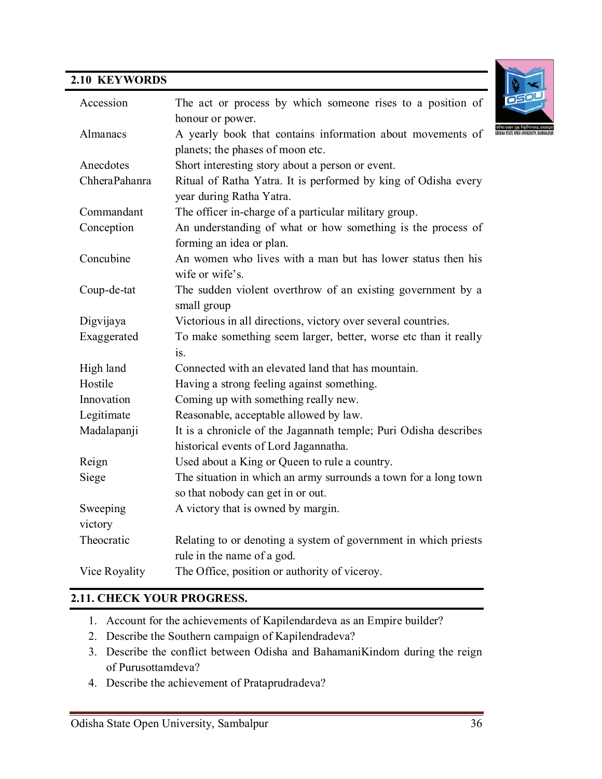## **2.10 KEYWORDS**



| Accession     | The act or process by which someone rises to a position of       |
|---------------|------------------------------------------------------------------|
|               | honour or power.                                                 |
| Almanacs      | A yearly book that contains information about movements of       |
|               | planets; the phases of moon etc.                                 |
| Anecdotes     | Short interesting story about a person or event.                 |
| ChheraPahanra | Ritual of Ratha Yatra. It is performed by king of Odisha every   |
|               | year during Ratha Yatra.                                         |
| Commandant    | The officer in-charge of a particular military group.            |
| Conception    | An understanding of what or how something is the process of      |
|               | forming an idea or plan.                                         |
| Concubine     | An women who lives with a man but has lower status then his      |
|               | wife or wife's.                                                  |
| Coup-de-tat   | The sudden violent overthrow of an existing government by a      |
|               | small group                                                      |
| Digvijaya     | Victorious in all directions, victory over several countries.    |
| Exaggerated   | To make something seem larger, better, worse etc than it really  |
|               | is.                                                              |
| High land     | Connected with an elevated land that has mountain.               |
| Hostile       | Having a strong feeling against something.                       |
| Innovation    | Coming up with something really new.                             |
| Legitimate    | Reasonable, acceptable allowed by law.                           |
| Madalapanji   | It is a chronicle of the Jagannath temple; Puri Odisha describes |
|               | historical events of Lord Jagannatha.                            |
| Reign         | Used about a King or Queen to rule a country.                    |
| Siege         | The situation in which an army surrounds a town for a long town  |
|               | so that nobody can get in or out.                                |
| Sweeping      | A victory that is owned by margin.                               |
| victory       |                                                                  |
| Theocratic    | Relating to or denoting a system of government in which priests  |
|               | rule in the name of a god.                                       |
| Vice Royality | The Office, position or authority of viceroy.                    |

#### **2.11. CHECK YOUR PROGRESS.**

- 1. Account for the achievements of Kapilendardeva as an Empire builder?
- 2. Describe the Southern campaign of Kapilendradeva?
- 3. Describe the conflict between Odisha and BahamaniKindom during the reign of Purusottamdeva?
- 4. Describe the achievement of Prataprudradeva?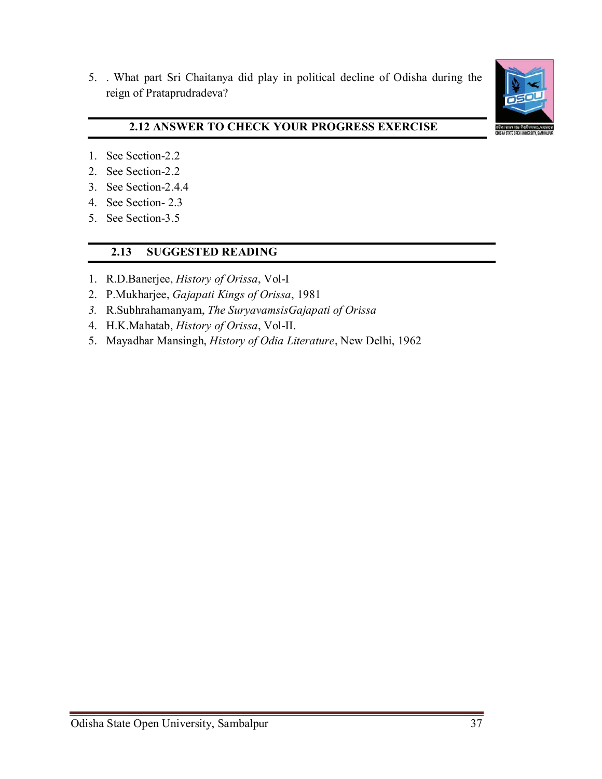5. . What part Sri Chaitanya did play in political decline of Odisha during the reign of Prataprudradeva?



## **2.12 ANSWER TO CHECK YOUR PROGRESS EXERCISE**

- 1. See Section-2.2
- 2. See Section-2.2
- 3. See Section-2.4.4
- 4. See Section- 2.3
- 5. See Section-3.5

#### **2.13 SUGGESTED READING**

- 1. R.D.Banerjee, *History of Orissa*, Vol-I
- 2. P.Mukharjee, *Gajapati Kings of Orissa*, 1981
- *3.* R.Subhrahamanyam, *The SuryavamsisGajapati of Orissa*
- 4. H.K.Mahatab, *History of Orissa*, Vol-II.
- 5. Mayadhar Mansingh, *History of Odia Literature*, New Delhi, 1962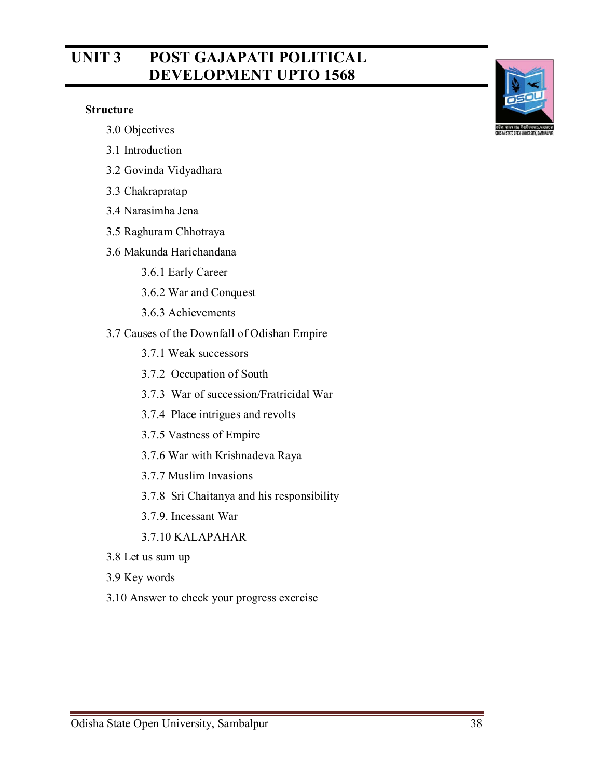# **UNIT 3 POST GAJAPATI POLITICAL DEVELOPMENT UPTO 1568**

#### **Structure**

- 3.0 Objectives
- 3.1 Introduction
- 3.2 Govinda Vidyadhara
- 3.3 Chakrapratap
- 3.4 Narasimha Jena
- 3.5 Raghuram Chhotraya
- 3.6 Makunda Harichandana
	- 3.6.1 Early Career
	- 3.6.2 War and Conquest
	- 3.6.3 Achievements
- 3.7 Causes of the Downfall of Odishan Empire
	- 3.7.1 Weak successors
	- 3.7.2 Occupation of South
	- 3.7.3 War of succession/Fratricidal War
	- 3.7.4 Place intrigues and revolts
	- 3.7.5 Vastness of Empire
	- 3.7.6 War with Krishnadeva Raya
	- 3.7.7 Muslim Invasions
	- 3.7.8 Sri Chaitanya and his responsibility
	- 3.7.9. Incessant War
	- 3.7.10 KALAPAHAR
- 3.8 Let us sum up
- 3.9 Key words
- 3.10 Answer to check your progress exercise

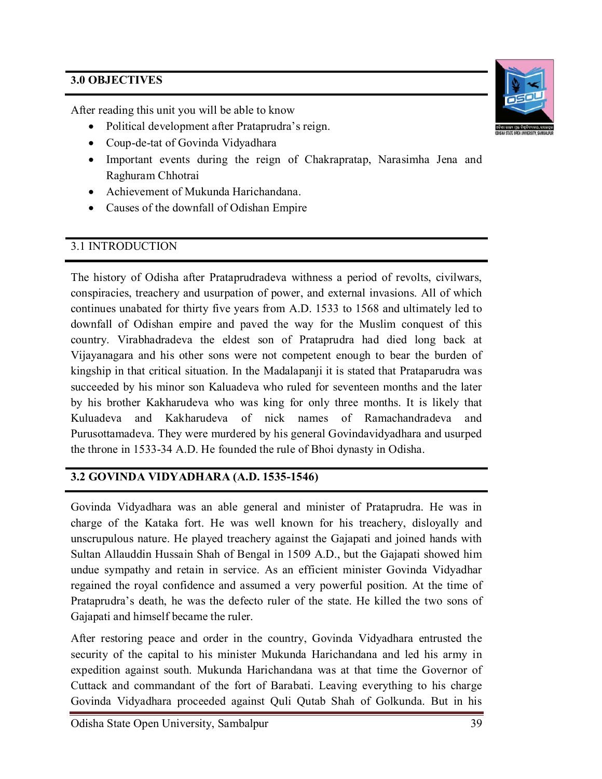## **3.0 OBJECTIVES**

After reading this unit you will be able to know

- Political development after Prataprudra's reign.
- Coup-de-tat of Govinda Vidyadhara
- Important events during the reign of Chakrapratap, Narasimha Jena and Raghuram Chhotrai
- Achievement of Mukunda Harichandana.
- Causes of the downfall of Odishan Empire

## 3.1 INTRODUCTION

The history of Odisha after Prataprudradeva withness a period of revolts, civilwars, conspiracies, treachery and usurpation of power, and external invasions. All of which continues unabated for thirty five years from A.D. 1533 to 1568 and ultimately led to downfall of Odishan empire and paved the way for the Muslim conquest of this country. Virabhadradeva the eldest son of Prataprudra had died long back at Vijayanagara and his other sons were not competent enough to bear the burden of kingship in that critical situation. In the Madalapanji it is stated that Prataparudra was succeeded by his minor son Kaluadeva who ruled for seventeen months and the later by his brother Kakharudeva who was king for only three months. It is likely that Kuluadeva and Kakharudeva of nick names of Ramachandradeva and Purusottamadeva. They were murdered by his general Govindavidyadhara and usurped the throne in 1533-34 A.D. He founded the rule of Bhoi dynasty in Odisha.

## **3.2 GOVINDA VIDYADHARA (A.D. 1535-1546)**

Govinda Vidyadhara was an able general and minister of Prataprudra. He was in charge of the Kataka fort. He was well known for his treachery, disloyally and unscrupulous nature. He played treachery against the Gajapati and joined hands with Sultan Allauddin Hussain Shah of Bengal in 1509 A.D., but the Gajapati showed him undue sympathy and retain in service. As an efficient minister Govinda Vidyadhar regained the royal confidence and assumed a very powerful position. At the time of Prataprudra's death, he was the defecto ruler of the state. He killed the two sons of Gajapati and himself became the ruler.

After restoring peace and order in the country, Govinda Vidyadhara entrusted the security of the capital to his minister Mukunda Harichandana and led his army in expedition against south. Mukunda Harichandana was at that time the Governor of Cuttack and commandant of the fort of Barabati. Leaving everything to his charge Govinda Vidyadhara proceeded against Quli Qutab Shah of Golkunda. But in his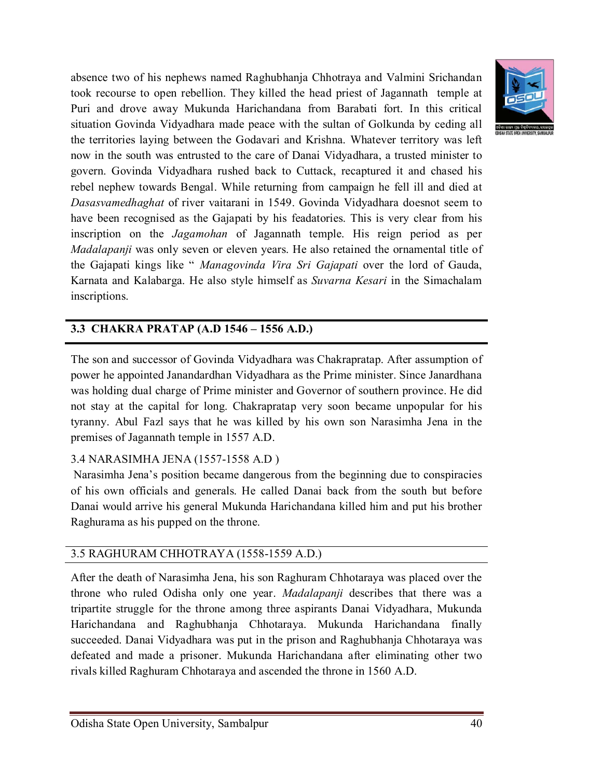absence two of his nephews named Raghubhanja Chhotraya and Valmini Srichandan took recourse to open rebellion. They killed the head priest of Jagannath temple at Puri and drove away Mukunda Harichandana from Barabati fort. In this critical situation Govinda Vidyadhara made peace with the sultan of Golkunda by ceding all the territories laying between the Godavari and Krishna. Whatever territory was left now in the south was entrusted to the care of Danai Vidyadhara, a trusted minister to govern. Govinda Vidyadhara rushed back to Cuttack, recaptured it and chased his rebel nephew towards Bengal. While returning from campaign he fell ill and died at *Dasasvamedhaghat* of river vaitarani in 1549. Govinda Vidyadhara doesnot seem to have been recognised as the Gajapati by his feadatories. This is very clear from his inscription on the *Jagamohan* of Jagannath temple. His reign period as per *Madalapanji* was only seven or eleven years. He also retained the ornamental title of the Gajapati kings like " *Managovinda Vira Sri Gajapati* over the lord of Gauda, Karnata and Kalabarga. He also style himself as *Suvarna Kesari* in the Simachalam inscriptions.

# **3.3 CHAKRA PRATAP (A.D 1546 – 1556 A.D.)**

The son and successor of Govinda Vidyadhara was Chakrapratap. After assumption of power he appointed Janandardhan Vidyadhara as the Prime minister. Since Janardhana was holding dual charge of Prime minister and Governor of southern province. He did not stay at the capital for long. Chakrapratap very soon became unpopular for his tyranny. Abul Fazl says that he was killed by his own son Narasimha Jena in the premises of Jagannath temple in 1557 A.D.

#### 3.4 NARASIMHA JENA (1557-1558 A.D )

Narasimha Jena's position became dangerous from the beginning due to conspiracies of his own officials and generals. He called Danai back from the south but before Danai would arrive his general Mukunda Harichandana killed him and put his brother Raghurama as his pupped on the throne.

## 3.5 RAGHURAM CHHOTRAYA (1558-1559 A.D.)

After the death of Narasimha Jena, his son Raghuram Chhotaraya was placed over the throne who ruled Odisha only one year. *Madalapanji* describes that there was a tripartite struggle for the throne among three aspirants Danai Vidyadhara, Mukunda Harichandana and Raghubhanja Chhotaraya. Mukunda Harichandana finally succeeded. Danai Vidyadhara was put in the prison and Raghubhanja Chhotaraya was defeated and made a prisoner. Mukunda Harichandana after eliminating other two rivals killed Raghuram Chhotaraya and ascended the throne in 1560 A.D.

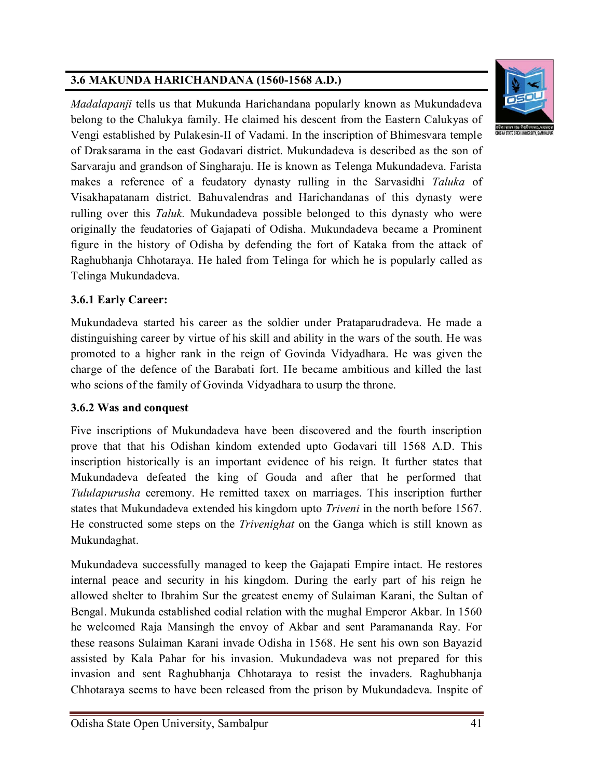## **3.6 MAKUNDA HARICHANDANA (1560-1568 A.D.)**



*Madalapanji* tells us that Mukunda Harichandana popularly known as Mukundadeva belong to the Chalukya family. He claimed his descent from the Eastern Calukyas of Vengi established by Pulakesin-II of Vadami. In the inscription of Bhimesvara temple of Draksarama in the east Godavari district. Mukundadeva is described as the son of Sarvaraju and grandson of Singharaju. He is known as Telenga Mukundadeva. Farista makes a reference of a feudatory dynasty rulling in the Sarvasidhi *Taluka* of Visakhapatanam district. Bahuvalendras and Harichandanas of this dynasty were rulling over this *Taluk.* Mukundadeva possible belonged to this dynasty who were originally the feudatories of Gajapati of Odisha. Mukundadeva became a Prominent figure in the history of Odisha by defending the fort of Kataka from the attack of Raghubhanja Chhotaraya. He haled from Telinga for which he is popularly called as Telinga Mukundadeva.

## **3.6.1 Early Career:**

Mukundadeva started his career as the soldier under Prataparudradeva. He made a distinguishing career by virtue of his skill and ability in the wars of the south. He was promoted to a higher rank in the reign of Govinda Vidyadhara. He was given the charge of the defence of the Barabati fort. He became ambitious and killed the last who scions of the family of Govinda Vidyadhara to usurp the throne.

## **3.6.2 Was and conquest**

Five inscriptions of Mukundadeva have been discovered and the fourth inscription prove that that his Odishan kindom extended upto Godavari till 1568 A.D. This inscription historically is an important evidence of his reign. It further states that Mukundadeva defeated the king of Gouda and after that he performed that *Tululapurusha* ceremony. He remitted taxex on marriages. This inscription further states that Mukundadeva extended his kingdom upto *Triveni* in the north before 1567. He constructed some steps on the *Trivenighat* on the Ganga which is still known as Mukundaghat.

Mukundadeva successfully managed to keep the Gajapati Empire intact. He restores internal peace and security in his kingdom. During the early part of his reign he allowed shelter to Ibrahim Sur the greatest enemy of Sulaiman Karani, the Sultan of Bengal. Mukunda established codial relation with the mughal Emperor Akbar. In 1560 he welcomed Raja Mansingh the envoy of Akbar and sent Paramananda Ray. For these reasons Sulaiman Karani invade Odisha in 1568. He sent his own son Bayazid assisted by Kala Pahar for his invasion. Mukundadeva was not prepared for this invasion and sent Raghubhanja Chhotaraya to resist the invaders. Raghubhanja Chhotaraya seems to have been released from the prison by Mukundadeva. Inspite of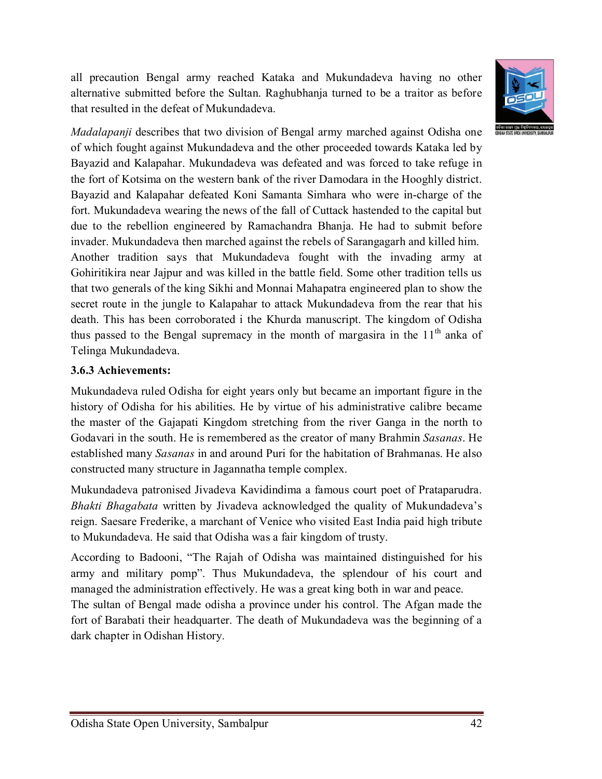all precaution Bengal army reached Kataka and Mukundadeva having no other alternative submitted before the Sultan. Raghubhanja turned to be a traitor as before that resulted in the defeat of Mukundadeva.



*Madalapanji* describes that two division of Bengal army marched against Odisha one of which fought against Mukundadeva and the other proceeded towards Kataka led by Bayazid and Kalapahar. Mukundadeva was defeated and was forced to take refuge in the fort of Kotsima on the western bank of the river Damodara in the Hooghly district. Bayazid and Kalapahar defeated Koni Samanta Simhara who were in-charge of the fort. Mukundadeva wearing the news of the fall of Cuttack hastended to the capital but due to the rebellion engineered by Ramachandra Bhanja. He had to submit before invader. Mukundadeva then marched against the rebels of Sarangagarh and killed him. Another tradition says that Mukundadeva fought with the invading army at Gohiritikira near Jajpur and was killed in the battle field. Some other tradition tells us that two generals of the king Sikhi and Monnai Mahapatra engineered plan to show the secret route in the jungle to Kalapahar to attack Mukundadeva from the rear that his death. This has been corroborated i the Khurda manuscript. The kingdom of Odisha thus passed to the Bengal supremacy in the month of margasira in the  $11<sup>th</sup>$  anka of Telinga Mukundadeva.

### **3.6.3 Achievements:**

Mukundadeva ruled Odisha for eight years only but became an important figure in the history of Odisha for his abilities. He by virtue of his administrative calibre became the master of the Gajapati Kingdom stretching from the river Ganga in the north to Godavari in the south. He is remembered as the creator of many Brahmin *Sasanas*. He established many *Sasanas* in and around Puri for the habitation of Brahmanas. He also constructed many structure in Jagannatha temple complex.

Mukundadeva patronised Jivadeva Kavidindima a famous court poet of Prataparudra. *Bhakti Bhagabata* written by Jivadeva acknowledged the quality of Mukundadeva's reign. Saesare Frederike, a marchant of Venice who visited East India paid high tribute to Mukundadeva. He said that Odisha was a fair kingdom of trusty.

According to Badooni, "The Rajah of Odisha was maintained distinguished for his army and military pomp". Thus Mukundadeva, the splendour of his court and managed the administration effectively. He was a great king both in war and peace. The sultan of Bengal made odisha a province under his control. The Afgan made the fort of Barabati their headquarter. The death of Mukundadeva was the beginning of a dark chapter in Odishan History.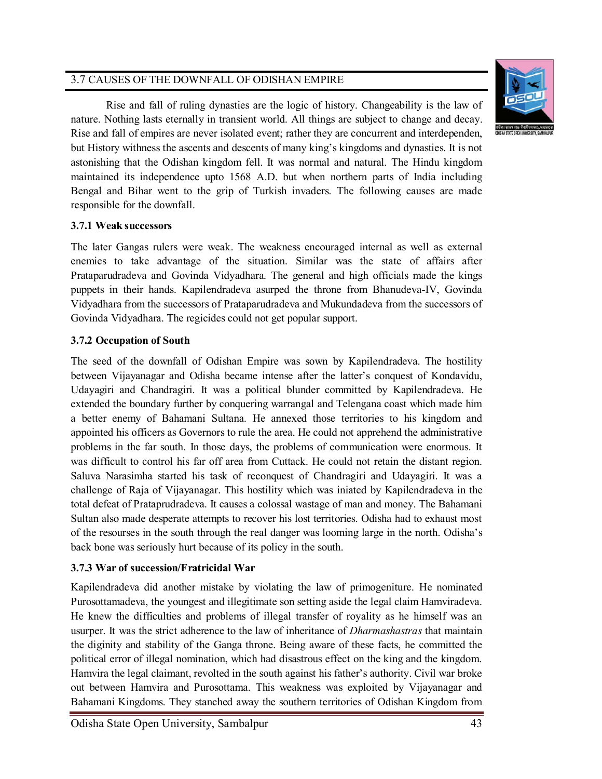#### 3.7 CAUSES OF THE DOWNFALL OF ODISHAN EMPIRE



Rise and fall of ruling dynasties are the logic of history. Changeability is the law of nature. Nothing lasts eternally in transient world. All things are subject to change and decay. Rise and fall of empires are never isolated event; rather they are concurrent and interdependen, but History withness the ascents and descents of many king's kingdoms and dynasties. It is not astonishing that the Odishan kingdom fell. It was normal and natural. The Hindu kingdom maintained its independence upto 1568 A.D. but when northern parts of India including Bengal and Bihar went to the grip of Turkish invaders. The following causes are made responsible for the downfall.

#### **3.7.1 Weak successors**

The later Gangas rulers were weak. The weakness encouraged internal as well as external enemies to take advantage of the situation. Similar was the state of affairs after Prataparudradeva and Govinda Vidyadhara. The general and high officials made the kings puppets in their hands. Kapilendradeva asurped the throne from Bhanudeva-IV, Govinda Vidyadhara from the successors of Prataparudradeva and Mukundadeva from the successors of Govinda Vidyadhara. The regicides could not get popular support.

#### **3.7.2 Occupation of South**

The seed of the downfall of Odishan Empire was sown by Kapilendradeva. The hostility between Vijayanagar and Odisha became intense after the latter's conquest of Kondavidu, Udayagiri and Chandragiri. It was a political blunder committed by Kapilendradeva. He extended the boundary further by conquering warrangal and Telengana coast which made him a better enemy of Bahamani Sultana. He annexed those territories to his kingdom and appointed his officers as Governors to rule the area. He could not apprehend the administrative problems in the far south. In those days, the problems of communication were enormous. It was difficult to control his far off area from Cuttack. He could not retain the distant region. Saluva Narasimha started his task of reconquest of Chandragiri and Udayagiri. It was a challenge of Raja of Vijayanagar. This hostility which was iniated by Kapilendradeva in the total defeat of Prataprudradeva. It causes a colossal wastage of man and money. The Bahamani Sultan also made desperate attempts to recover his lost territories. Odisha had to exhaust most of the resourses in the south through the real danger was looming large in the north. Odisha's back bone was seriously hurt because of its policy in the south.

## **3.7.3 War of succession/Fratricidal War**

Kapilendradeva did another mistake by violating the law of primogeniture. He nominated Purosottamadeva, the youngest and illegitimate son setting aside the legal claim Hamviradeva. He knew the difficulties and problems of illegal transfer of royality as he himself was an usurper. It was the strict adherence to the law of inheritance of *Dharmashastras* that maintain the diginity and stability of the Ganga throne. Being aware of these facts, he committed the political error of illegal nomination, which had disastrous effect on the king and the kingdom. Hamvira the legal claimant, revolted in the south against his father's authority. Civil war broke out between Hamvira and Purosottama. This weakness was exploited by Vijayanagar and Bahamani Kingdoms. They stanched away the southern territories of Odishan Kingdom from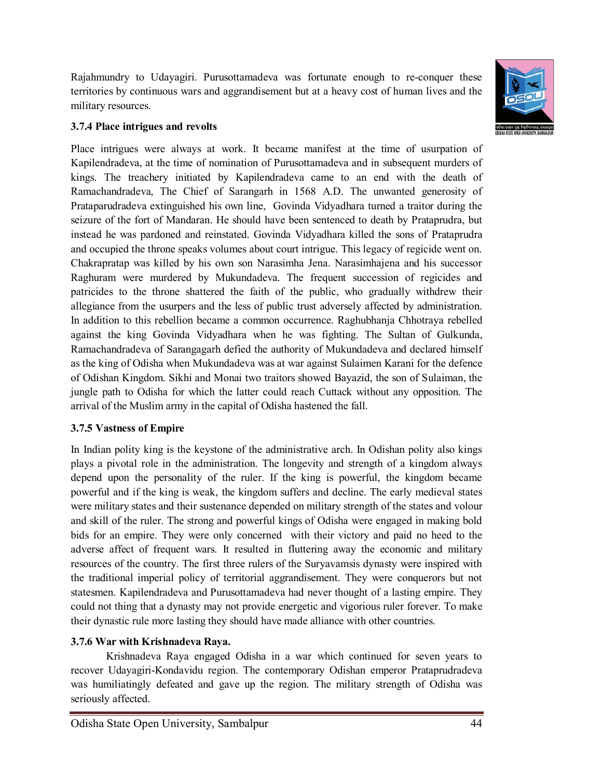Rajahmundry to Udayagiri. Purusottamadeva was fortunate enough to re-conquer these territories by continuous wars and aggrandisement but at a heavy cost of human lives and the military resources.



#### **3.7.4 Place intrigues and revolts**

Place intrigues were always at work. It became manifest at the time of usurpation of Kapilendradeva, at the time of nomination of Purusottamadeva and in subsequent murders of kings. The treachery initiated by Kapilendradeva came to an end with the death of Ramachandradeva, The Chief of Sarangarh in 1568 A.D. The unwanted generosity of Prataparudradeva extinguished his own line, Govinda Vidyadhara turned a traitor during the seizure of the fort of Mandaran. He should have been sentenced to death by Prataprudra, but instead he was pardoned and reinstated. Govinda Vidyadhara killed the sons of Prataprudra and occupied the throne speaks volumes about court intrigue. This legacy of regicide went on. Chakrapratap was killed by his own son Narasimha Jena. Narasimhajena and his successor Raghuram were murdered by Mukundadeva. The frequent succession of regicides and patricides to the throne shattered the faith of the public, who gradually withdrew their allegiance from the usurpers and the less of public trust adversely affected by administration. In addition to this rebellion became a common occurrence. Raghubhanja Chhotraya rebelled against the king Govinda Vidyadhara when he was fighting. The Sultan of Gulkunda, Ramachandradeva of Sarangagarh defied the authority of Mukundadeva and declared himself as the king of Odisha when Mukundadeva was at war against Sulaimen Karani for the defence of Odishan Kingdom. Sikhi and Monai two traitors showed Bayazid, the son of Sulaiman, the jungle path to Odisha for which the latter could reach Cuttack without any opposition. The arrival of the Muslim army in the capital of Odisha hastened the fall.

#### **3.7.5 Vastness of Empire**

In Indian polity king is the keystone of the administrative arch. In Odishan polity also kings plays a pivotal role in the administration. The longevity and strength of a kingdom always depend upon the personality of the ruler. If the king is powerful, the kingdom became powerful and if the king is weak, the kingdom suffers and decline. The early medieval states were military states and their sustenance depended on military strength of the states and volour and skill of the ruler. The strong and powerful kings of Odisha were engaged in making bold bids for an empire. They were only concerned with their victory and paid no heed to the adverse affect of frequent wars. It resulted in fluttering away the economic and military resources of the country. The first three rulers of the Suryavamsis dynasty were inspired with the traditional imperial policy of territorial aggrandisement. They were conquerors but not statesmen. Kapilendradeva and Purusottamadeva had never thought of a lasting empire. They could not thing that a dynasty may not provide energetic and vigorious ruler forever. To make their dynastic rule more lasting they should have made alliance with other countries.

#### **3.7.6 War with Krishnadeva Raya.**

Krishnadeva Raya engaged Odisha in a war which continued for seven years to recover Udayagiri-Kondavidu region. The contemporary Odishan emperor Prataprudradeva was humiliatingly defeated and gave up the region. The military strength of Odisha was seriously affected.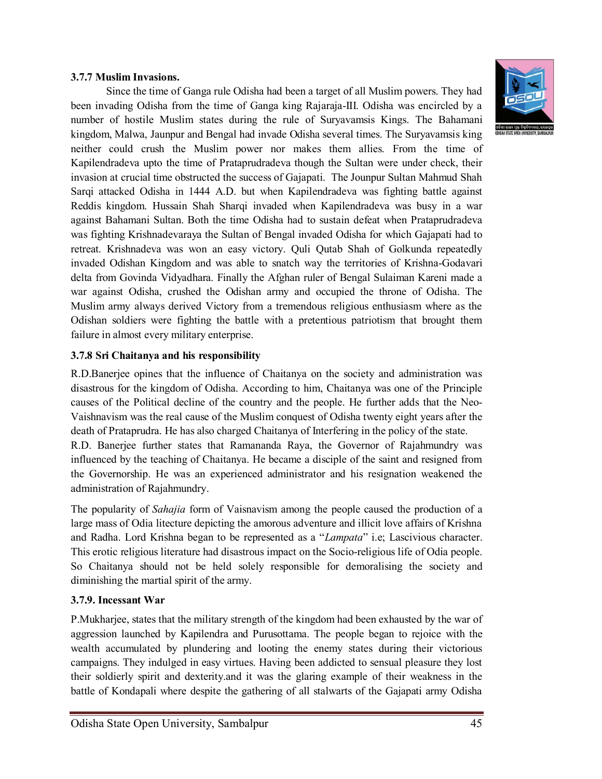#### **3.7.7 Muslim Invasions.**

Since the time of Ganga rule Odisha had been a target of all Muslim powers. They had been invading Odisha from the time of Ganga king Rajaraja-III. Odisha was encircled by a number of hostile Muslim states during the rule of Suryavamsis Kings. The Bahamani kingdom, Malwa, Jaunpur and Bengal had invade Odisha several times. The Suryavamsis king neither could crush the Muslim power nor makes them allies. From the time of Kapilendradeva upto the time of Prataprudradeva though the Sultan were under check, their invasion at crucial time obstructed the success of Gajapati. The Jounpur Sultan Mahmud Shah Sarqi attacked Odisha in 1444 A.D. but when Kapilendradeva was fighting battle against Reddis kingdom. Hussain Shah Sharqi invaded when Kapilendradeva was busy in a war against Bahamani Sultan. Both the time Odisha had to sustain defeat when Prataprudradeva was fighting Krishnadevaraya the Sultan of Bengal invaded Odisha for which Gajapati had to retreat. Krishnadeva was won an easy victory. Quli Qutab Shah of Golkunda repeatedly invaded Odishan Kingdom and was able to snatch way the territories of Krishna-Godavari delta from Govinda Vidyadhara. Finally the Afghan ruler of Bengal Sulaiman Kareni made a war against Odisha, crushed the Odishan army and occupied the throne of Odisha. The Muslim army always derived Victory from a tremendous religious enthusiasm where as the Odishan soldiers were fighting the battle with a pretentious patriotism that brought them failure in almost every military enterprise.

#### **3.7.8 Sri Chaitanya and his responsibility**

R.D.Banerjee opines that the influence of Chaitanya on the society and administration was disastrous for the kingdom of Odisha. According to him, Chaitanya was one of the Principle causes of the Political decline of the country and the people. He further adds that the Neo-Vaishnavism was the real cause of the Muslim conquest of Odisha twenty eight years after the death of Prataprudra. He has also charged Chaitanya of Interfering in the policy of the state.

R.D. Banerjee further states that Ramananda Raya, the Governor of Rajahmundry was influenced by the teaching of Chaitanya. He became a disciple of the saint and resigned from the Governorship. He was an experienced administrator and his resignation weakened the administration of Rajahmundry.

The popularity of *Sahajia* form of Vaisnavism among the people caused the production of a large mass of Odia litecture depicting the amorous adventure and illicit love affairs of Krishna and Radha. Lord Krishna began to be represented as a "*Lampata*" i.e; Lascivious character. This erotic religious literature had disastrous impact on the Socio-religious life of Odia people. So Chaitanya should not be held solely responsible for demoralising the society and diminishing the martial spirit of the army.

#### **3.7.9. Incessant War**

P.Mukharjee, states that the military strength of the kingdom had been exhausted by the war of aggression launched by Kapilendra and Purusottama. The people began to rejoice with the wealth accumulated by plundering and looting the enemy states during their victorious campaigns. They indulged in easy virtues. Having been addicted to sensual pleasure they lost their soldierly spirit and dexterity.and it was the glaring example of their weakness in the battle of Kondapali where despite the gathering of all stalwarts of the Gajapati army Odisha

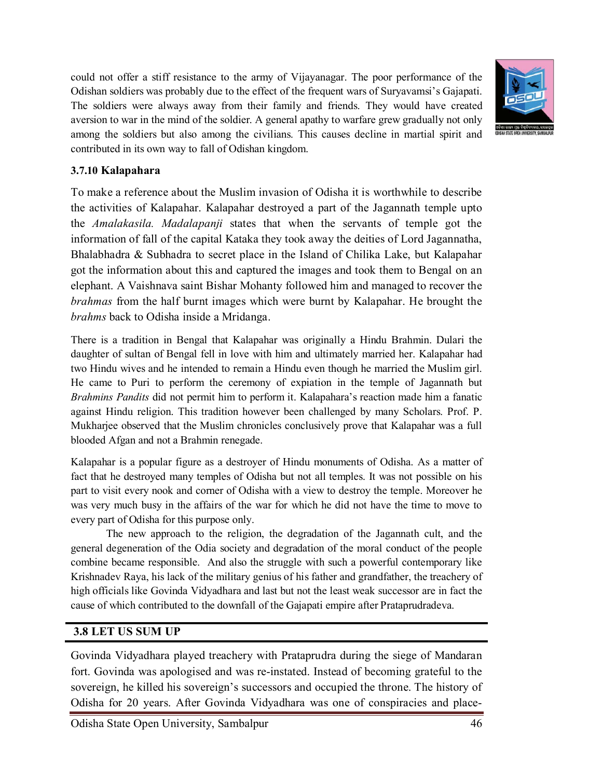could not offer a stiff resistance to the army of Vijayanagar. The poor performance of the Odishan soldiers was probably due to the effect of the frequent wars of Suryavamsi's Gajapati. The soldiers were always away from their family and friends. They would have created aversion to war in the mind of the soldier. A general apathy to warfare grew gradually not only among the soldiers but also among the civilians. This causes decline in martial spirit and contributed in its own way to fall of Odishan kingdom.



#### **3.7.10 Kalapahara**

To make a reference about the Muslim invasion of Odisha it is worthwhile to describe the activities of Kalapahar. Kalapahar destroyed a part of the Jagannath temple upto the *Amalakasila. Madalapanji* states that when the servants of temple got the information of fall of the capital Kataka they took away the deities of Lord Jagannatha, Bhalabhadra & Subhadra to secret place in the Island of Chilika Lake, but Kalapahar got the information about this and captured the images and took them to Bengal on an elephant. A Vaishnava saint Bishar Mohanty followed him and managed to recover the *brahmas* from the half burnt images which were burnt by Kalapahar. He brought the *brahms* back to Odisha inside a Mridanga.

There is a tradition in Bengal that Kalapahar was originally a Hindu Brahmin. Dulari the daughter of sultan of Bengal fell in love with him and ultimately married her. Kalapahar had two Hindu wives and he intended to remain a Hindu even though he married the Muslim girl. He came to Puri to perform the ceremony of expiation in the temple of Jagannath but *Brahmins Pandits* did not permit him to perform it. Kalapahara's reaction made him a fanatic against Hindu religion. This tradition however been challenged by many Scholars. Prof. P. Mukharjee observed that the Muslim chronicles conclusively prove that Kalapahar was a full blooded Afgan and not a Brahmin renegade.

Kalapahar is a popular figure as a destroyer of Hindu monuments of Odisha. As a matter of fact that he destroyed many temples of Odisha but not all temples. It was not possible on his part to visit every nook and corner of Odisha with a view to destroy the temple. Moreover he was very much busy in the affairs of the war for which he did not have the time to move to every part of Odisha for this purpose only.

The new approach to the religion, the degradation of the Jagannath cult, and the general degeneration of the Odia society and degradation of the moral conduct of the people combine became responsible. And also the struggle with such a powerful contemporary like Krishnadev Raya, his lack of the military genius of his father and grandfather, the treachery of high officials like Govinda Vidyadhara and last but not the least weak successor are in fact the cause of which contributed to the downfall of the Gajapati empire after Prataprudradeva.

#### **3.8 LET US SUM UP**

Govinda Vidyadhara played treachery with Prataprudra during the siege of Mandaran fort. Govinda was apologised and was re-instated. Instead of becoming grateful to the sovereign, he killed his sovereign's successors and occupied the throne. The history of Odisha for 20 years. After Govinda Vidyadhara was one of conspiracies and place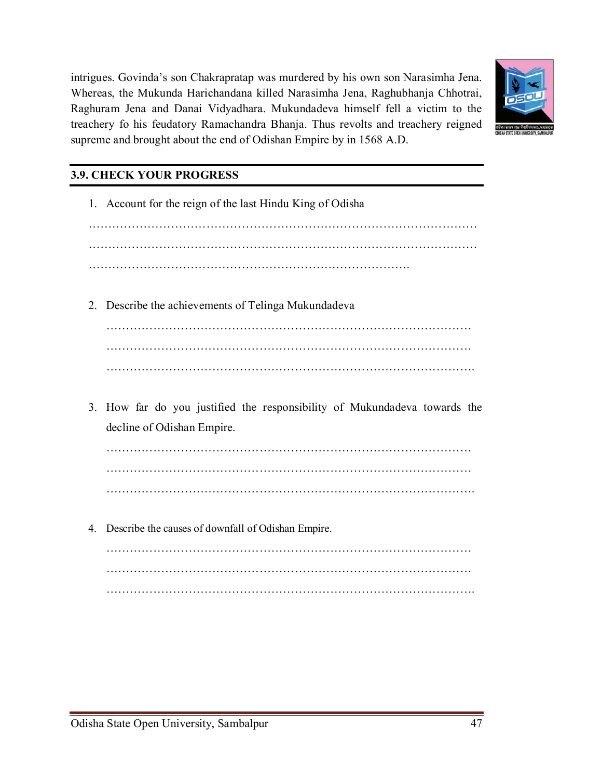intrigues. Govinda's son Chakrapratap was murdered by his own son Narasimha Jena. Whereas, the Mukunda Harichandana killed Narasimha Jena, Raghubhanja Chhotrai, Raghuram Jena and Danai Vidyadhara. Mukundadeva himself fell a victim to the treachery fo his feudatory Ramachandra Bhanja. Thus revolts and treachery reigned supreme and brought about the end of Odishan Empire by in 1568 A.D.



# **3.9. CHECK YOUR PROGRESS**

|    | 1. Account for the reign of the last Hindu King of Odisha                 |
|----|---------------------------------------------------------------------------|
|    |                                                                           |
|    |                                                                           |
|    |                                                                           |
| 2. | Describe the achievements of Telinga Mukundadeva                          |
|    |                                                                           |
|    |                                                                           |
|    |                                                                           |
|    | 3. How far do you justified the responsibility of Mukundadeva towards the |
|    | decline of Odishan Empire.                                                |
|    |                                                                           |
|    |                                                                           |
|    |                                                                           |
| 4. | Describe the causes of downfall of Odishan Empire.                        |
|    | .                                                                         |
|    |                                                                           |
|    |                                                                           |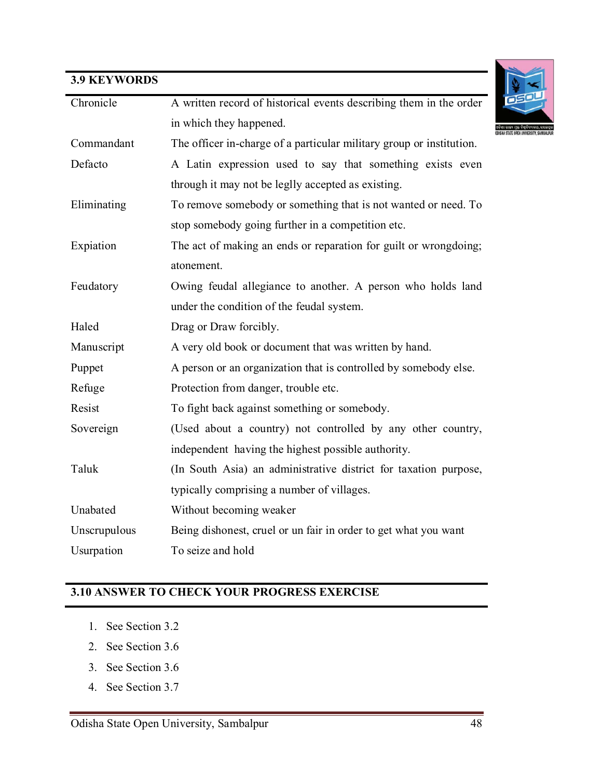# **3.9 KEYWORDS**

| Chronicle    | A written record of historical events describing them in the order   |
|--------------|----------------------------------------------------------------------|
|              | in which they happened.                                              |
| Commandant   | The officer in-charge of a particular military group or institution. |
| Defacto      | A Latin expression used to say that something exists even            |
|              | through it may not be leglly accepted as existing.                   |
| Eliminating  | To remove somebody or something that is not wanted or need. To       |
|              | stop somebody going further in a competition etc.                    |
| Expiation    | The act of making an ends or reparation for guilt or wrongdoing;     |
|              | atonement.                                                           |
| Feudatory    | Owing feudal allegiance to another. A person who holds land          |
|              | under the condition of the feudal system.                            |
| Haled        | Drag or Draw forcibly.                                               |
| Manuscript   | A very old book or document that was written by hand.                |
| Puppet       | A person or an organization that is controlled by somebody else.     |
| Refuge       | Protection from danger, trouble etc.                                 |
| Resist       | To fight back against something or somebody.                         |
| Sovereign    | (Used about a country) not controlled by any other country,          |
|              | independent having the highest possible authority.                   |
| Taluk        | (In South Asia) an administrative district for taxation purpose,     |
|              | typically comprising a number of villages.                           |
| Unabated     | Without becoming weaker                                              |
| Unscrupulous | Being dishonest, cruel or un fair in order to get what you want      |
| Usurpation   | To seize and hold                                                    |

## **3.10 ANSWER TO CHECK YOUR PROGRESS EXERCISE**

- 1. See Section 3.2
- 2. See Section 3.6
- 3. See Section 3.6
- 4. See Section 3.7